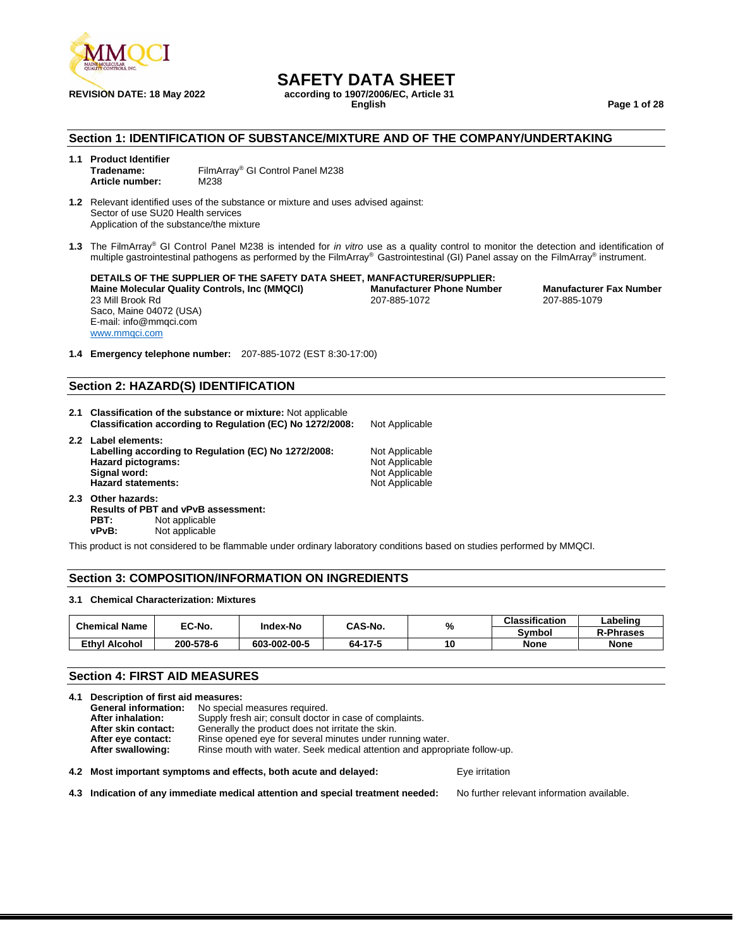

**REVISION DATE: 18 May 2022 according to 1907/2006/EC, Article 31**

**English Page 1 of 28**

#### **Section 1: IDENTIFICATION OF SUBSTANCE/MIXTURE AND OF THE COMPANY/UNDERTAKING**

- **1.1 Product Identifier** FilmArray<sup>®</sup> GI Control Panel M238 **Article number:** M238
- **1.2** Relevant identified uses of the substance or mixture and uses advised against: Sector of use SU20 Health services Application of the substance/the mixture
- **1.3** The FilmArray ® GI Control Panel M238 is intended for *in vitro* use as a quality control to monitor the detection and identification of multiple gastrointestinal pathogens as performed by the FilmArray® Gastrointestinal (GI) Panel assay on the FilmArray® instrument.

**DETAILS OF THE SUPPLIER OF THE SAFETY DATA SHEET, MANFACTURER/SUPPLIER: Maine Molecular Quality Controls, Inc (MMQCI) Manufacturer Phone Number Manufacturer Fax Number** 23 Mill Brook Rd 207-885-1072 207-885-1079 Saco, Maine 04072 (USA) E-mail: info@mmqci.com [www.mmqci.com](http://www.mmqci.com/)

**1.4 Emergency telephone number:** 207-885-1072 (EST 8:30-17:00)

#### **Section 2: HAZARD(S) IDENTIFICATION**

- **2.1 Classification of the substance or mixture:** Not applicable **Classification according to Regulation (EC) No 1272/2008:** Not Applicable
- **2.2 Label elements:** Labelling according to Regulation (EC) No 1272/2008: Not Applicable<br>Hazard pictograms: Not Applicable **Hazard pictograms:**<br>Signal word: **Hazard statements:**
- **2.3 Other hazards: Results of PBT and vPvB assessment: PBT:** Not applicable<br>vPvB: Not applicable **Not applicable**

**Not Applicable**<br>Not Applicable

This product is not considered to be flammable under ordinary laboratory conditions based on studies performed by MMQCI.

#### **Section 3: COMPOSITION/INFORMATION ON INGREDIENTS**

#### **3.1 Chemical Characterization: Mixtures**

| <b>Chemical Name</b> | <b>EC-No.</b> | <b>Index-No</b> |         | %<br>CAS-No. | <b>Classification</b> | Labeling         |
|----------------------|---------------|-----------------|---------|--------------|-----------------------|------------------|
|                      |               |                 |         |              | Svmbol                | <b>R-Phrases</b> |
| Ethvl Alcohol        | 200-578-6     | 603-002-00-5    | 64-17-5 | 10           | <b>None</b>           | <b>None</b>      |

#### **Section 4: FIRST AID MEASURES**

**4.1 Description of first aid measures: General information:** No special measures required.<br>**After inhalation:** Supply fresh air: consult doctor Supply fresh air; consult doctor in case of complaints. **After skin contact:** Generally the product does not irritate the skin. After eye contact: Rinse opened eye for several minutes under running water.<br>**After swallowing:** Rinse mouth with water. Seek medical attention and approp **After swallowing:** Rinse mouth with water. Seek medical attention and appropriate follow-up.

**4.2 Most important symptoms and effects, both acute and delayed:** Eye irritation

**4.3 Indication of any immediate medical attention and special treatment needed:** No further relevant information available.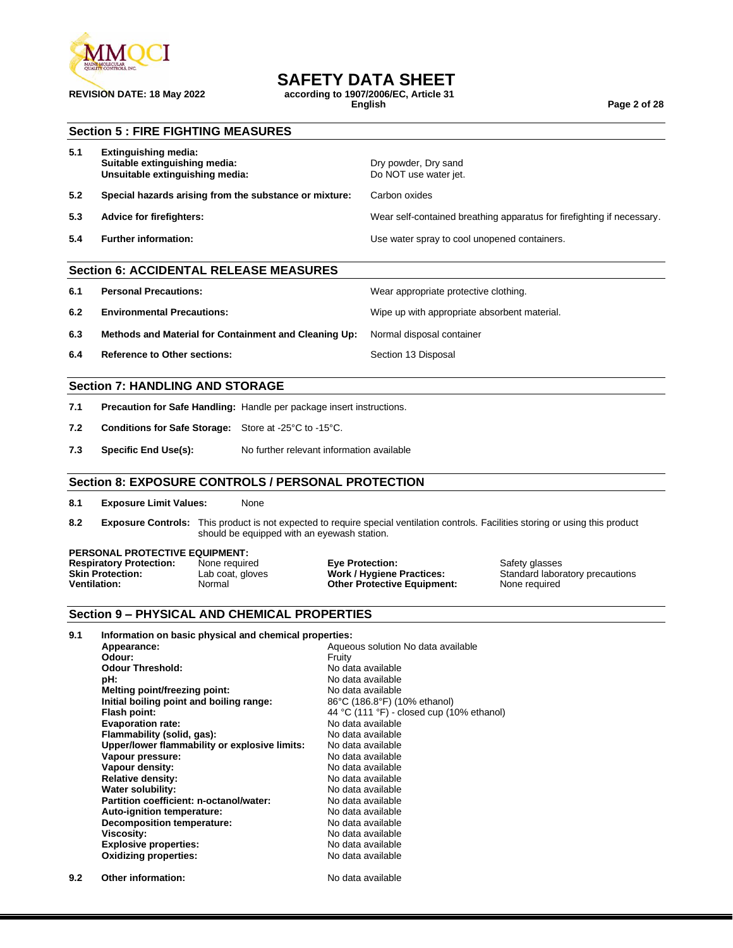

**REVISION DATE: 18 May 2022 according to 1907/2006/EC, Article 31**

**English Page 2 of 28**

#### **Section 5 : FIRE FIGHTING MEASURES**

| 5.1 | <b>Extinguishing media:</b><br>Suitable extinguishing media:<br>Unsuitable extinguishing media: | Dry powder, Dry sand<br>Do NOT use water jet.                          |
|-----|-------------------------------------------------------------------------------------------------|------------------------------------------------------------------------|
| 5.2 | Special hazards arising from the substance or mixture:                                          | Carbon oxides                                                          |
| 5.3 | Advice for firefighters:                                                                        | Wear self-contained breathing apparatus for firefighting if necessary. |
| 5.4 | <b>Further information:</b>                                                                     | Use water spray to cool unopened containers.                           |
|     |                                                                                                 |                                                                        |

Wear appropriate protective clothing.

#### **Section 6: ACCIDENTAL RELEASE MEASURES**

| 6.1 |  | <b>Personal Precautions:</b> |
|-----|--|------------------------------|
|-----|--|------------------------------|

- **6.2 Environmental Precautions:** Wipe up with appropriate absorbent material.
- **6.3 Methods and Material for Containment and Cleaning Up:** Normal disposal container
- **6.4 Reference to Other sections:** Section 13 Disposal

#### **Section 7: HANDLING AND STORAGE**

- **7.1 Precaution for Safe Handling:** Handle per package insert instructions.
- **7.2 Conditions for Safe Storage:** Store at -25°C to -15°C.
- **7.3 Specific End Use(s):** No further relevant information available

#### **Section 8: EXPOSURE CONTROLS / PERSONAL PROTECTION**

**8.1 Exposure Limit Values:** None

**8.2 Exposure Controls:** This product is not expected to require special ventilation controls. Facilities storing or using this product should be equipped with an eyewash station.

### **PERSONAL PROTECTIVE EQUIPMENT:**<br>**Respiratory Protection:** None required

**Respiratory Protection:** None required **Eye Protection: Safety glasses**<br> **Skin Protection:** Lab coat, gloves **Work / Hygiene Practices:** Standard labor **Skin Protection:** Lab coat, gloves **Work / Hygiene Practices:** Standard laboratory precautions<br> **Ventilation:** Normal **Normal Cther Protective Equipment:** None required

**Other Protective Equipment:** 

#### **Section 9 – PHYSICAL AND CHEMICAL PROPERTIES**

**9.2 Other information:** No data available

| 9.1 | Information on basic physical and chemical properties: |                                           |  |  |  |
|-----|--------------------------------------------------------|-------------------------------------------|--|--|--|
|     | Appearance:                                            | Aqueous solution No data available        |  |  |  |
|     | Odour:                                                 | Fruity                                    |  |  |  |
|     | <b>Odour Threshold:</b>                                | No data available                         |  |  |  |
|     | pH:                                                    | No data available                         |  |  |  |
|     | Melting point/freezing point:                          | No data available                         |  |  |  |
|     | Initial boiling point and boiling range:               | 86°C (186.8°F) (10% ethanol)              |  |  |  |
|     | Flash point:                                           | 44 °C (111 °F) - closed cup (10% ethanol) |  |  |  |
|     | <b>Evaporation rate:</b>                               | No data available                         |  |  |  |
|     | Flammability (solid, gas):                             | No data available                         |  |  |  |
|     | Upper/lower flammability or explosive limits:          | No data available                         |  |  |  |
|     | Vapour pressure:                                       | No data available                         |  |  |  |
|     | Vapour density:                                        | No data available                         |  |  |  |
|     | <b>Relative density:</b>                               | No data available                         |  |  |  |
|     | <b>Water solubility:</b>                               | No data available                         |  |  |  |
|     | Partition coefficient: n-octanol/water:                | No data available                         |  |  |  |
|     | Auto-ignition temperature:                             | No data available                         |  |  |  |
|     | <b>Decomposition temperature:</b>                      | No data available                         |  |  |  |
|     | <b>Viscosity:</b>                                      | No data available                         |  |  |  |
|     | <b>Explosive properties:</b>                           | No data available                         |  |  |  |
|     | <b>Oxidizing properties:</b>                           | No data available                         |  |  |  |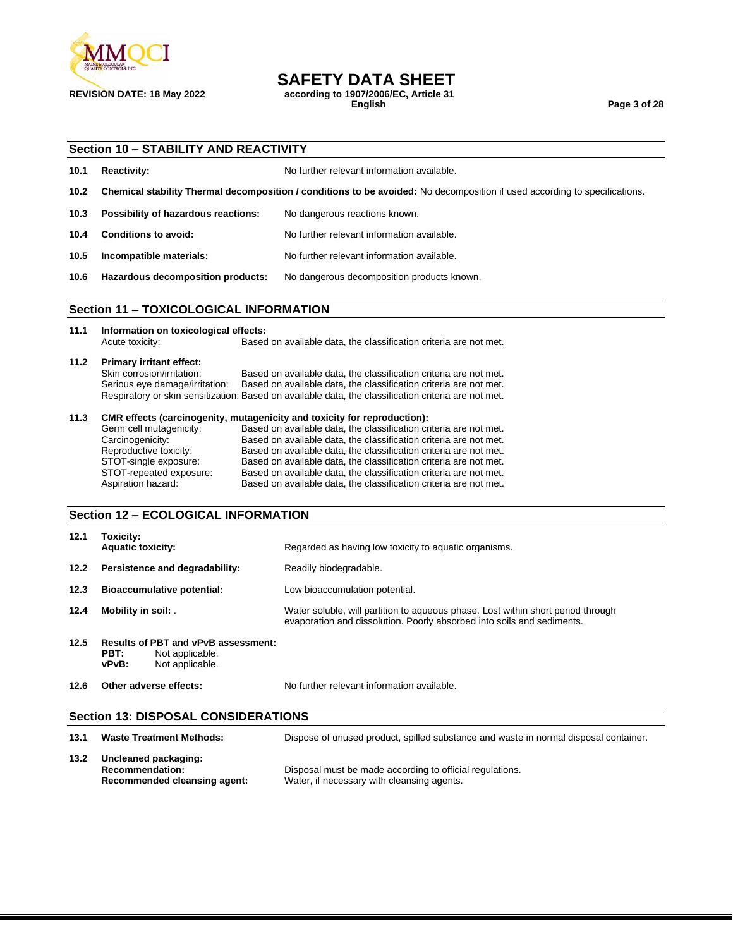

**REVISION DATE: 18 May 2022 according to 1907/2006/EC, Article 31**

**English Page 3 of 28**

#### **Section 10 – STABILITY AND REACTIVITY**

| 10.1              | <b>Reactivity:</b>                                        | No further relevant information available.                                                                                 |
|-------------------|-----------------------------------------------------------|----------------------------------------------------------------------------------------------------------------------------|
| 10.2 <sub>1</sub> |                                                           | Chemical stability Thermal decomposition / conditions to be avoided: No decomposition if used according to specifications. |
| 10.3              | Possibility of hazardous reactions:                       | No dangerous reactions known.                                                                                              |
| 10.4              | Conditions to avoid:                                      | No further relevant information available.                                                                                 |
| 10.5              | Incompatible materials:                                   | No further relevant information available.                                                                                 |
| 10.6              | Hazardous decomposition products:                         | No dangerous decomposition products known.                                                                                 |
|                   | <b>TOVICOLOGICAL INFORMATION</b><br>$C_{\text{right}}$ 44 |                                                                                                                            |

#### **Section 11 – TOXICOLOGICAL INFORMATION**

**11.1 Information on toxicological effects:** Based on available data, the classification criteria are not met.

### **11.2 Primary irritant effect:**

Based on available data, the classification criteria are not met. Serious eye damage/irritation: Based on available data, the classification criteria are not met. Respiratory or skin sensitization: Based on available data, the classification criteria are not met.

#### **11.3 CMR effects (carcinogenity, mutagenicity and toxicity for reproduction):**

| Germ cell mutagenicity: | Based on available data, the classification criteria are not met. |
|-------------------------|-------------------------------------------------------------------|
| Carcinogenicity:        | Based on available data, the classification criteria are not met. |
| Reproductive toxicity:  | Based on available data, the classification criteria are not met. |
| STOT-single exposure:   | Based on available data, the classification criteria are not met. |
| STOT-repeated exposure: | Based on available data, the classification criteria are not met. |
| Aspiration hazard:      | Based on available data, the classification criteria are not met. |

### **Section 12 – ECOLOGICAL INFORMATION**

| 12.1 | Toxicity:<br><b>Aquatic toxicity:</b>                                                             | Regarded as having low toxicity to aquatic organisms.                                                                                                      |
|------|---------------------------------------------------------------------------------------------------|------------------------------------------------------------------------------------------------------------------------------------------------------------|
| 12.2 | Persistence and degradability:                                                                    | Readily biodegradable.                                                                                                                                     |
| 12.3 | <b>Bioaccumulative potential:</b>                                                                 | Low bioaccumulation potential.                                                                                                                             |
| 12.4 | Mobility in soil:                                                                                 | Water soluble, will partition to aqueous phase. Lost within short period through<br>evaporation and dissolution. Poorly absorbed into soils and sediments. |
| 12.5 | <b>Results of PBT and vPvB assessment:</b><br>PBT:<br>Not applicable.<br>Not applicable.<br>vPvB: |                                                                                                                                                            |
| 12.6 | Other adverse effects:                                                                            | No further relevant information available.                                                                                                                 |

#### **Section 13: DISPOSAL CONSIDERATIONS**

| 13.1 | <b>Waste Treatment Methods:</b>                                                | Dispose of unused product, spilled substance and waste in normal disposal container.                   |
|------|--------------------------------------------------------------------------------|--------------------------------------------------------------------------------------------------------|
| 13.2 | Uncleaned packaging:<br><b>Recommendation:</b><br>Recommended cleansing agent: | Disposal must be made according to official regulations.<br>Water, if necessary with cleansing agents. |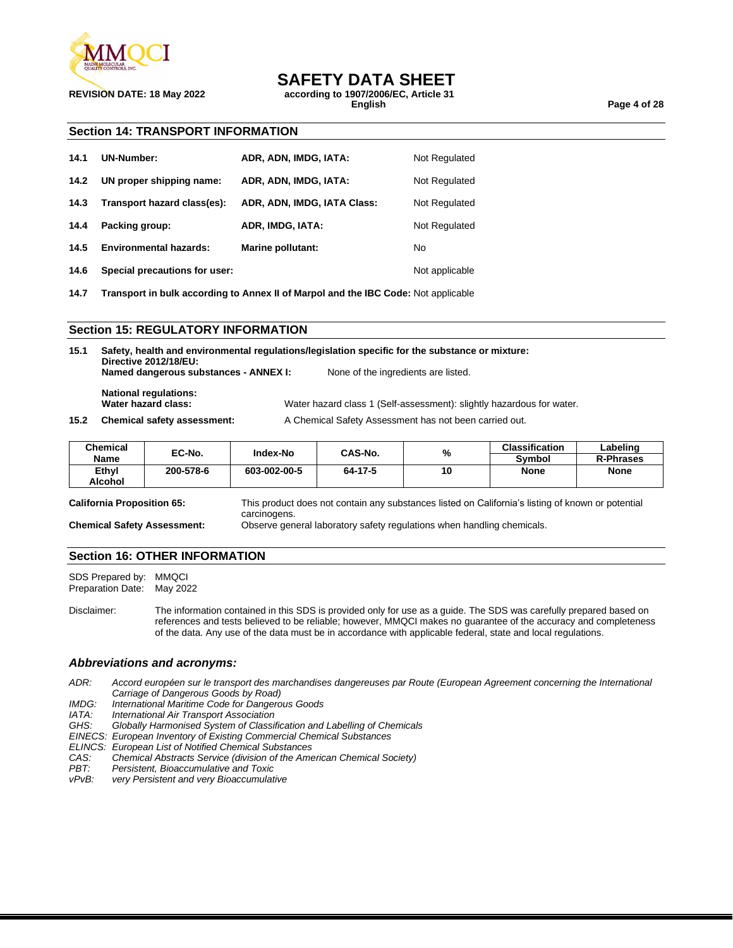

**REVISION DATE: 18 May 2022 according to 1907/2006/EC, Article 31**

**English Page 4 of 28**

#### **Section 14: TRANSPORT INFORMATION**

| 14.1 | <b>UN-Number:</b>             | ADR, ADN, IMDG, IATA:       | Not Regulated  |
|------|-------------------------------|-----------------------------|----------------|
| 14.2 | UN proper shipping name:      | ADR, ADN, IMDG, IATA:       | Not Regulated  |
| 14.3 | Transport hazard class(es):   | ADR, ADN, IMDG, IATA Class: | Not Regulated  |
| 14.4 | Packing group:                | ADR, IMDG, IATA:            | Not Regulated  |
| 14.5 | <b>Environmental hazards:</b> | <b>Marine pollutant:</b>    | No             |
| 14.6 | Special precautions for user: |                             | Not applicable |

**14.7 Transport in bulk according to Annex II of Marpol and the IBC Code:** Not applicable

#### **Section 15: REGULATORY INFORMATION**

**15.1 Safety, health and environmental regulations/legislation specific for the substance or mixture: Directive 2012/18/EU: Named dangerous substances - ANNEX I:** None of the ingredients are listed. **National regulations: Water hazard class:** Water hazard class 1 (Self-assessment): slightly hazardous for water. **15.2 Chemical safety assessment:** A Chemical Safety Assessment has not been carried out.

| <b>Chemical</b> | EC-No.    | <b>Index-No</b> | CAS-No. | %  | <b>Classification</b> | Labeling         |
|-----------------|-----------|-----------------|---------|----|-----------------------|------------------|
| Name            |           |                 |         |    | Svmbol                | <b>R-Phrases</b> |
| Ethyl           | 200-578-6 | 603-002-00-5    | 64-17-5 | 10 | None                  | <b>None</b>      |
| <b>Alcohol</b>  |           |                 |         |    |                       |                  |

**California Proposition 65:** This product does not contain any substances listed on California's listing of known or potential

carcinogens. **Chemical Safety Assessment:** Observe general laboratory safety regulations when handling chemicals.

#### **Section 16: OTHER INFORMATION**

SDS Prepared by: MMQCI<br>Preparation Date: May 2022 Preparation Date:

Disclaimer: The information contained in this SDS is provided only for use as a guide. The SDS was carefully prepared based on references and tests believed to be reliable; however, MMQCI makes no guarantee of the accuracy and completeness of the data. Any use of the data must be in accordance with applicable federal, state and local regulations.

#### *Abbreviations and acronyms:*

*ADR: Accord européen sur le transport des marchandises dangereuses par Route (European Agreement concerning the International Carriage of Dangerous Goods by Road)*

- *IMDG: International Maritime Code for Dangerous Goods*
- *IATA: International Air Transport Association*
- *GHS: Globally Harmonised System of Classification and Labelling of Chemicals*
- *EINECS: European Inventory of Existing Commercial Chemical Substances*
- *ELINCS: European List of Notified Chemical Substances*
- *CAS: Chemical Abstracts Service (division of the American Chemical Society)*
- *PBT: Persistent, Bioaccumulative and Toxic*
- *vPvB: very Persistent and very Bioaccumulative*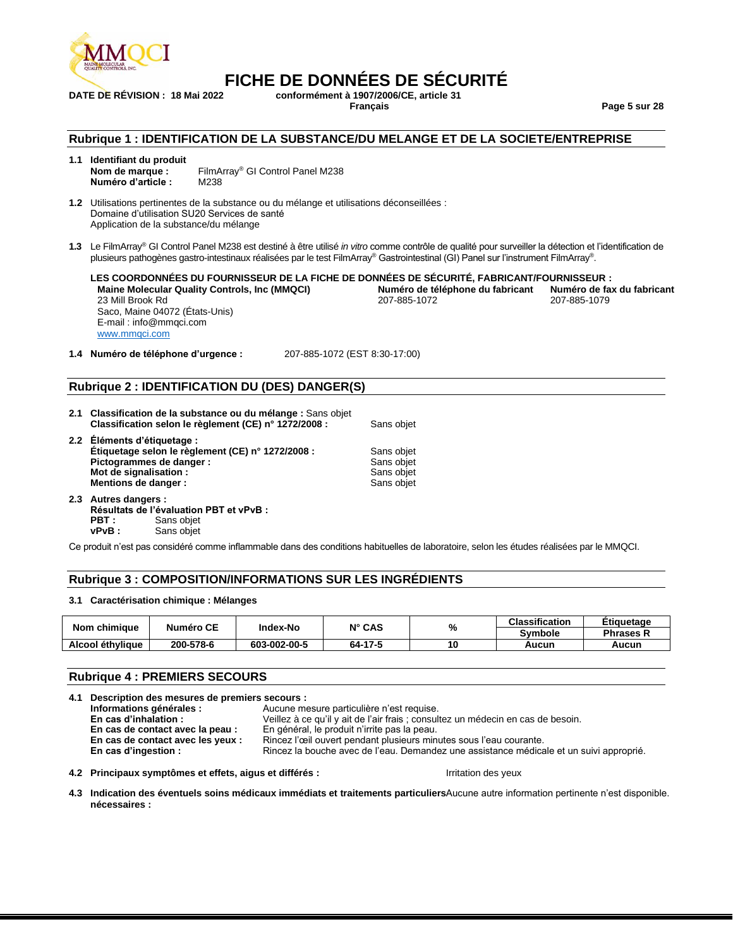

# **FICHE DE DONNÉES DE SÉCURITÉ**<br>DATE DE RÉVISION : 18 Mai 2022 conformément à 1907/2006/CE. article 31

**DATE DE RÉVISION : 18 Mai 2022 conformément à 1907/2006/CE, article 31 Français Page 5 sur 28**

#### **Rubrique 1 : IDENTIFICATION DE LA SUBSTANCE/DU MELANGE ET DE LA SOCIETE/ENTREPRISE**

**1.1 Identifiant du produit Nom de marque :** FilmArray® GI Control Panel M238 **Numéro d'article :** M238

**1.2** Utilisations pertinentes de la substance ou du mélange et utilisations déconseillées : Domaine d'utilisation SU20 Services de santé Application de la substance/du mélange

**1.3** Le FilmArray® GI Control Panel M238 est destiné à être utilisé *in vitro* comme contrôle de qualité pour surveiller la détection et l'identification de plusieurs pathogènes gastro-intestinaux réalisées par le test FilmArray® Gastrointestinal (GI) Panel sur l'instrument FilmArray® .

**LES COORDONNÉES DU FOURNISSEUR DE LA FICHE DE DONNÉES DE SÉCURITÉ, FABRICANT/FOURNISSEUR : Maine Molecular Quality Controls, Inc (MMQCI) Numéro de téléphone du fabricant Numéro de fax du fabricant** 23 Mill Brook Rd Saco, Maine 04072 (États-Unis) E-mail : info@mmqci.com [www.mmqci.com](http://www.mmqci.com/) 207-885-1079

**1.4 Numéro de téléphone d'urgence :** 207-885-1072 (EST 8:30-17:00)

#### **Rubrique 2 : IDENTIFICATION DU (DES) DANGER(S)**

- **2.1 Classification de la substance ou du mélange :** Sans objet **Classification selon le règlement (CE) n° 1272/2008 :** Sans objet
- **2.2 Éléments d'étiquetage : Étiquetage selon le règlement (CE) n° 1272/2008 : Sans objet<br><b>Pictogrammes de danger :** Sans objet **Pictogrammes de danger :**<br> **Mot de signalisation :** Sans objet<br>
Sans objet **Mot de signalisation : Mentions de danger :** Sans objet
- **2.3 Autres dangers : Résultats de l'évaluation PBT et vPvB : PBT** : Sans objet<br>vPvB : Sans objet Sans objet

Ce produit n'est pas considéré comme inflammable dans des conditions habituelles de laboratoire, selon les études réalisées par le MMQCI.

#### **Rubrique 3 : COMPOSITION/INFORMATIONS SUR LES INGRÉDIENTS**

#### **3.1 Caractérisation chimique : Mélanges**

| Nom chimique     | <b>Numéro CE</b> | Index-No     | $N^{\circ}$ CAS | %  | <b>Classification</b> | Etiguetage                  |
|------------------|------------------|--------------|-----------------|----|-----------------------|-----------------------------|
|                  |                  |              |                 |    | Symbole               | Phrases <b><sub>N</sub></b> |
| Alcool éthylique | 200-578-6        | 603-002-00-5 | 64-17-5         | 10 | Aucun                 | Aucun                       |

#### **Rubrique 4 : PREMIERS SECOURS**

| 4.1 Description des mesures de premiers secours : |                                                                                         |  |
|---------------------------------------------------|-----------------------------------------------------------------------------------------|--|
| Informations générales :                          | Aucune mesure particulière n'est requise.                                               |  |
| En cas d'inhalation :                             | Veillez à ce qu'il y ait de l'air frais ; consultez un médecin en cas de besoin.        |  |
| En cas de contact avec la peau :                  | En général, le produit n'irrite pas la peau.                                            |  |
| En cas de contact avec les yeux :                 | Rincez l'œil ouvert pendant plusieurs minutes sous l'eau courante.                      |  |
| En cas d'ingestion :                              | Rincez la bouche avec de l'eau. Demandez une assistance médicale et un suivi approprié. |  |

**4.2 Principaux symptômes et effets, aigus et différés :** Irritation des yeux

4.3 Indication des éventuels soins médicaux immédiats et traitements particuliersAucune autre information pertinente n'est disponible. **nécessaires :**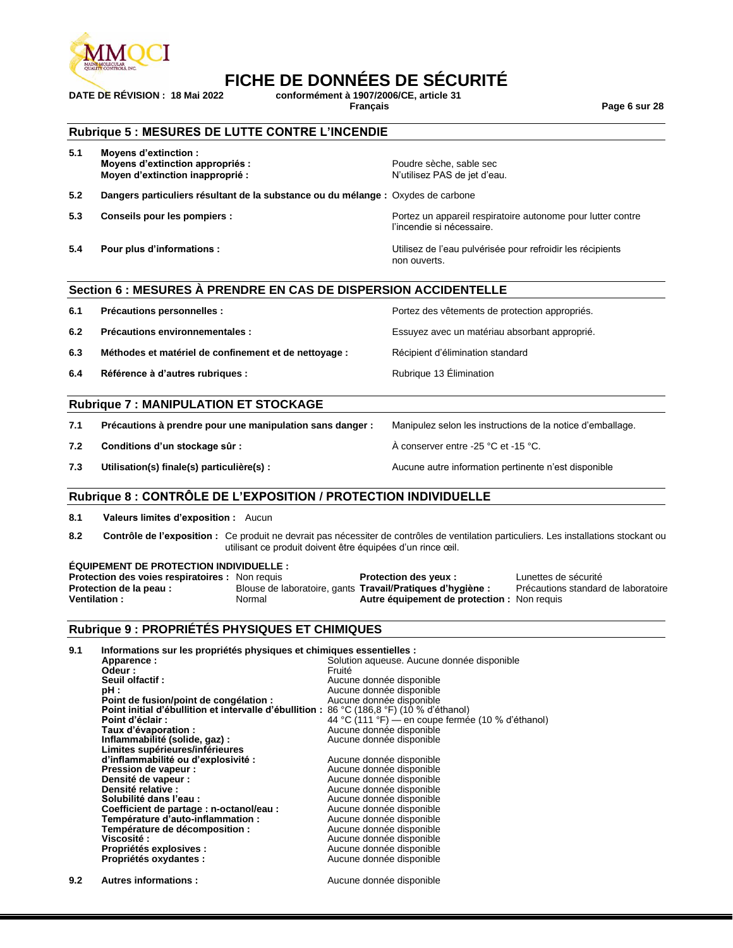

# **FICHE DE DONNÉES DE SÉCURITÉ**<br>DATE DE RÉVISION : 18 Mai 2022 conformément à 1907/2006/CE, article 31

**DATE DE RÉVISION : 18 Mai 2022 conformément à 1907/2006/CE, article 31**

**Français Page 6 sur 28**

#### **Rubrique 5 : MESURES DE LUTTE CONTRE L'INCENDIE**

| 5.1 | <b>Movens d'extinction :</b><br>Moyens d'extinction appropriés :<br>Moyen d'extinction inapproprié : | Poudre sèche, sable sec<br>N'utilisez PAS de jet d'eau.                                  |
|-----|------------------------------------------------------------------------------------------------------|------------------------------------------------------------------------------------------|
| 5.2 | Dangers particuliers résultant de la substance ou du mélange : Oxydes de carbone                     |                                                                                          |
| 5.3 | Conseils pour les pompiers :                                                                         | Portez un appareil respiratoire autonome pour lutter contre<br>l'incendie si nécessaire. |
| 5.4 | Pour plus d'informations :                                                                           | Utilisez de l'eau pulvérisée pour refroidir les récipients<br>non ouverts.               |

#### **Section 6 : MESURES À PRENDRE EN CAS DE DISPERSION ACCIDENTELLE**

| 6.1 | Précautions personnelles :                            | Portez des vêtements de protection appropriés. |
|-----|-------------------------------------------------------|------------------------------------------------|
| 6.2 | Précautions environnementales :                       | Essuyez avec un matériau absorbant approprié.  |
| 6.3 | Méthodes et matériel de confinement et de nettoyage : | Récipient d'élimination standard               |
| 6.4 | Référence à d'autres rubriques :                      | Rubrique 13 Elimination                        |

#### **Rubrique 7 : MANIPULATION ET STOCKAGE**

| 7.1 | Précautions à prendre pour une manipulation sans danger : | Manipulez selon les instructions de la notice d'emballage. |
|-----|-----------------------------------------------------------|------------------------------------------------------------|
| 7.2 | Conditions d'un stockage sûr :                            | A conserver entre -25 °C et -15 °C.                        |
| 7.3 | Utilisation(s) finale(s) particulière(s) :                | Aucune autre information pertinente n'est disponible       |

#### **Rubrique 8 : CONTRÔLE DE L'EXPOSITION / PROTECTION INDIVIDUELLE**

**8.1 Valeurs limites d'exposition :** Aucun

**8.2 Contrôle de l'exposition :** Ce produit ne devrait pas nécessiter de contrôles de ventilation particuliers. Les installations stockant ou utilisant ce produit doivent être équipées d'un rince œil.

#### **ÉQUIPEMENT DE PROTECTION INDIVIDUELLE :**

| <b>Protection des voies respiratoires :</b> Non requis |        | <b>Protection des yeux:</b>                                       | Lunettes de sécurité                |
|--------------------------------------------------------|--------|-------------------------------------------------------------------|-------------------------------------|
| Protection de la peau :                                |        | Blouse de laboratoire, gants <b>Travail/Pratiques d'hygiène</b> : | Précautions standard de laboratoire |
| <b>Ventilation</b> :                                   | Normal | Autre équipement de protection : Non requis                       |                                     |

#### **Rubrique 9 : PROPRIÉTÉS PHYSIQUES ET CHIMIQUES**

| 9.1 | Informations sur les propriétés physiques et chimiques essentielles :                     |                                                   |
|-----|-------------------------------------------------------------------------------------------|---------------------------------------------------|
|     | Apparence:                                                                                | Solution aqueuse. Aucune donnée disponible        |
|     | Odeur:                                                                                    | Fruité                                            |
|     | Seuil olfactif:                                                                           | Aucune donnée disponible                          |
|     | pH :                                                                                      | Aucune donnée disponible                          |
|     | Point de fusion/point de congélation :                                                    | Aucune donnée disponible                          |
|     | Point initial d'ébullition et intervalle d'ébullition : 86 °C (186,8 °F) (10 % d'éthanol) |                                                   |
|     | Point d'éclair :                                                                          | 44 °C (111 °F) — en coupe fermée (10 % d'éthanol) |
|     | Taux d'évaporation :                                                                      | Aucune donnée disponible                          |
|     | Inflammabilité (solide, gaz) :                                                            | Aucune donnée disponible                          |
|     | Limites supérieures/inférieures                                                           |                                                   |
|     | d'inflammabilité ou d'explosivité :                                                       | Aucune donnée disponible                          |
|     | Pression de vapeur :                                                                      | Aucune donnée disponible                          |
|     | Densité de vapeur :                                                                       | Aucune donnée disponible                          |
|     | Densité relative :                                                                        | Aucune donnée disponible                          |
|     | Solubilité dans l'eau :                                                                   | Aucune donnée disponible                          |
|     | Coefficient de partage : n-octanol/eau :                                                  | Aucune donnée disponible                          |
|     | Température d'auto-inflammation :                                                         | Aucune donnée disponible                          |
|     | Température de décomposition :                                                            | Aucune donnée disponible                          |
|     | <b>Viscosité :</b>                                                                        | Aucune donnée disponible                          |
|     | Propriétés explosives :                                                                   | Aucune donnée disponible                          |
|     | Propriétés oxydantes :                                                                    | Aucune donnée disponible                          |
|     |                                                                                           |                                                   |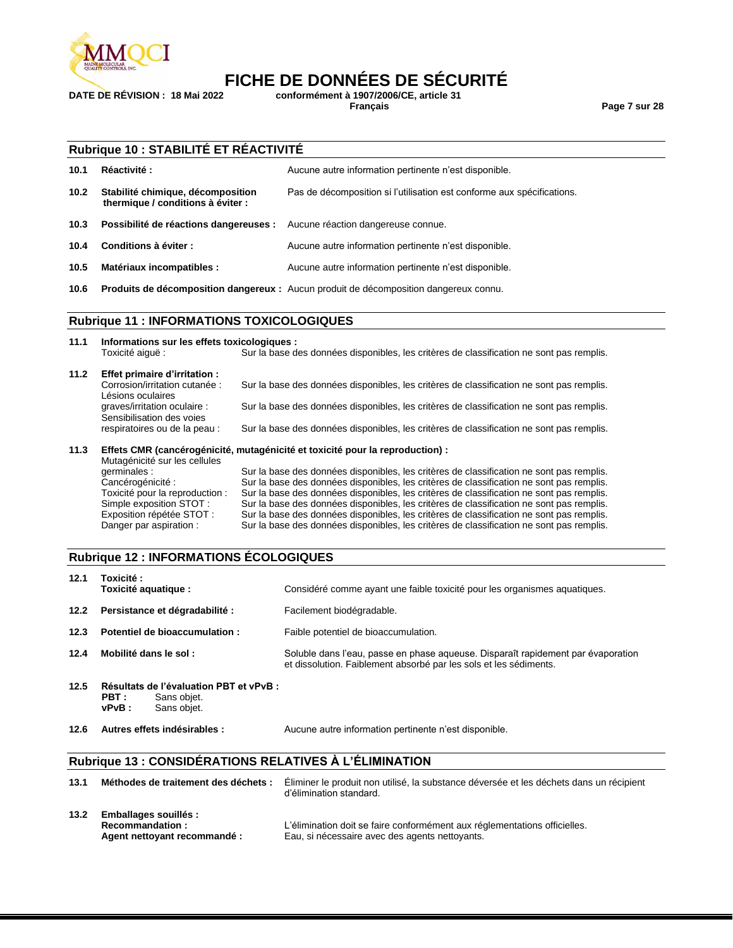

# **FICHE DE DONNÉES DE SÉCURITÉ**<br>DATE DE RÉVISION : 18 Mai 2022 conformément à 1907/2006/CE. article 31

**DATE DE RÉVISION : 18 Mai 2022 conformément à 1907/2006/CE, article 31**

**Français Page 7 sur 28**

#### **Rubrique 10 : STABILITÉ ET RÉACTIVITÉ**

| 10.1              | Réactivité:                                                               | Aucune autre information pertinente n'est disponible.                                 |
|-------------------|---------------------------------------------------------------------------|---------------------------------------------------------------------------------------|
| 10.2 <sub>1</sub> | Stabilité chimique, décomposition<br>thermique / conditions à éviter :    | Pas de décomposition si l'utilisation est conforme aux spécifications.                |
| 10.3              | Possibilité de réactions dangereuses : Aucune réaction dangereuse connue. |                                                                                       |
| 10.4              | Conditions à éviter :                                                     | Aucune autre information pertinente n'est disponible.                                 |
| 10.5              | Matériaux incompatibles :                                                 | Aucune autre information pertinente n'est disponible.                                 |
| 10.6              |                                                                           | Produits de décomposition dangereux : Aucun produit de décomposition dangereux connu. |

#### **Rubrique 11 : INFORMATIONS TOXICOLOGIQUES**

| 11.1 | Informations sur les effets toxicologiques :              |                                                                                          |
|------|-----------------------------------------------------------|------------------------------------------------------------------------------------------|
|      | Toxicité aiquë :                                          | Sur la base des données disponibles, les critères de classification ne sont pas remplis. |
| 11.2 | Effet primaire d'irritation :                             |                                                                                          |
|      | Corrosion/irritation cutanée :<br>Lésions oculaires       | Sur la base des données disponibles, les critères de classification ne sont pas remplis. |
|      | graves/irritation oculaire :<br>Sensibilisation des voies | Sur la base des données disponibles, les critères de classification ne sont pas remplis. |
|      | respiratoires ou de la peau :                             | Sur la base des données disponibles, les critères de classification ne sont pas remplis. |
|      |                                                           |                                                                                          |

**11.3 Effets CMR (cancérogénicité, mutagénicité et toxicité pour la reproduction) :** Mutagénicité sur les cellules<br>germinales : Sur la base des données disponibles, les critères de classification ne sont pas remplis. Cancérogénicité : Sur la base des données disponibles, les critères de classification ne sont pas remplis.<br>Toxicité pour la reproduction : Sur la base des données disponibles, les critères de classification ne sont pas rem Sur la base des données disponibles, les critères de classification ne sont pas remplis. Simple exposition STOT : Sur la base des données disponibles, les critères de classification ne sont pas remplis. Exposition répétée STOT : Sur la base des données disponibles, les critères de classification ne sont pas remplis.<br>Danger par aspiration : Sur la base des données disponibles, les critères de classification ne sont pas rem Sur la base des données disponibles, les critères de classification ne sont pas remplis.

#### **Rubrique 12 : INFORMATIONS ÉCOLOGIQUES**

| 12.1 | Toxicité :<br>Toxicité aquatique :                                                      | Considéré comme ayant une faible toxicité pour les organismes aquatiques.                                                                             |
|------|-----------------------------------------------------------------------------------------|-------------------------------------------------------------------------------------------------------------------------------------------------------|
| 12.2 | Persistance et dégradabilité :                                                          | Facilement biodégradable.                                                                                                                             |
| 12.3 | Potentiel de bioaccumulation:                                                           | Faible potentiel de bioaccumulation.                                                                                                                  |
| 12.4 | Mobilité dans le sol :                                                                  | Soluble dans l'eau, passe en phase aqueuse. Disparaît rapidement par évaporation<br>et dissolution. Faiblement absorbé par les sols et les sédiments. |
| 12.5 | Résultats de l'évaluation PBT et vPvB :<br>PBT :<br>Sans objet.<br>vPvB:<br>Sans objet. |                                                                                                                                                       |
| 12.6 | Autres effets indésirables :                                                            | Aucune autre information pertinente n'est disponible.                                                                                                 |

#### **Rubrique 13 : CONSIDÉRATIONS RELATIVES À L'ÉLIMINATION**

| 13.1 | Méthodes de traitement des déchets :                                                   | Éliminer le produit non utilisé, la substance déversée et les déchets dans un récipient<br>d'élimination standard.          |
|------|----------------------------------------------------------------------------------------|-----------------------------------------------------------------------------------------------------------------------------|
| 13.2 | <b>Emballages souillés :</b><br><b>Recommandation:</b><br>Agent nettoyant recommandé : | L'élimination doit se faire conformément aux réglementations officielles.<br>Eau, si nécessaire avec des agents nettoyants. |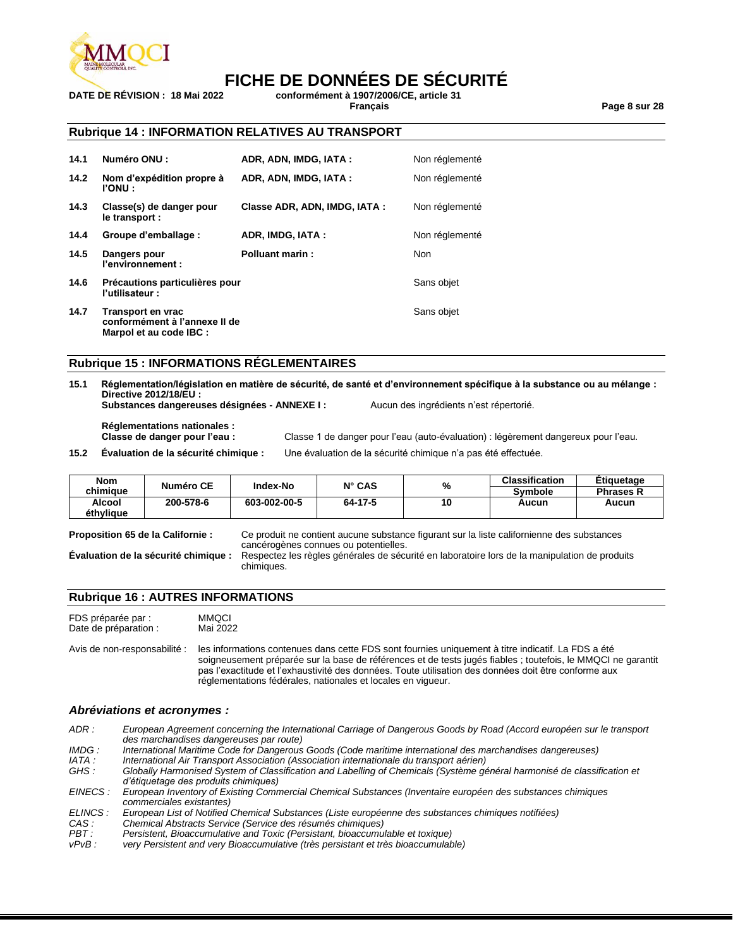

### **FICHE DE DONNÉES DE SÉCURITÉ**

**DATE DE RÉVISION : 18 Mai 2022 conformément à 1907/2006/CE, article 31**

**Français Page 8 sur 28**

#### **Rubrique 14 : INFORMATION RELATIVES AU TRANSPORT**

| 14.1 | Numéro ONU :                                                                  | ADR, ADN, IMDG, IATA:        | Non réglementé |
|------|-------------------------------------------------------------------------------|------------------------------|----------------|
| 14.2 | Nom d'expédition propre à<br><b>PONU:</b>                                     | ADR, ADN, IMDG, IATA:        | Non réglementé |
| 14.3 | Classe(s) de danger pour<br>le transport :                                    | Classe ADR, ADN, IMDG, IATA: | Non réglementé |
| 14.4 | Groupe d'emballage :                                                          | ADR, IMDG, IATA:             | Non réglementé |
| 14.5 | Dangers pour<br>l'environnement :                                             | <b>Polluant marin:</b>       | <b>Non</b>     |
| 14.6 | Précautions particulières pour<br>l'utilisateur :                             |                              | Sans objet     |
| 14.7 | Transport en vrac<br>conformément à l'annexe II de<br>Marpol et au code IBC : |                              | Sans objet     |

#### **Rubrique 15 : INFORMATIONS RÉGLEMENTAIRES**

**15.1 Réglementation/législation en matière de sécurité, de santé et d'environnement spécifique à la substance ou au mélange : Directive 2012/18/EU :**

**Substances dangereuses désignées - ANNEXE I :** Aucun des ingrédients n'est répertorié.

**Réglementations nationales :**

Classe 1 de danger pour l'eau (auto-évaluation) : légèrement dangereux pour l'eau.

**15.2 Évaluation de la sécurité chimique :** Une évaluation de la sécurité chimique n'a pas été effectuée.

| <b>Nom</b> | Numéro CE | Index-No     | $N^{\circ}$ CAS | %  | <b>Classification</b> | Etiauetaae       |
|------------|-----------|--------------|-----------------|----|-----------------------|------------------|
| chimiaue   |           |              |                 |    | <b>Symbole</b>        | <b>Phrases R</b> |
| Alcool     | 200-578-6 | 603-002-00-5 | 64-17-5         | 10 | Aucun                 | Aucun            |
| éthylique  |           |              |                 |    |                       |                  |

**Proposition 65 de la Californie :** Ce produit ne contient aucune substance figurant sur la liste californienne des substances cancérogènes connues ou potentielles.

**Évaluation de la sécurité chimique :** Respectez les règles générales de sécurité en laboratoire lors de la manipulation de produits chimiques.

#### **Rubrique 16 : AUTRES INFORMATIONS**

FDS préparée par : MMQCI<br>Date de préparation : Mai 2022 Date de préparation :

Avis de non-responsabilité : les informations contenues dans cette FDS sont fournies uniquement à titre indicatif. La FDS a été soigneusement préparée sur la base de références et de tests jugés fiables ; toutefois, le MMQCI ne garantit pas l'exactitude et l'exhaustivité des données. Toute utilisation des données doit être conforme aux réglementations fédérales, nationales et locales en vigueur.

#### *Abréviations et acronymes :*

*ADR : European Agreement concerning the International Carriage of Dangerous Goods by Road (Accord européen sur le transport des marchandises dangereuses par route)*

*IMDG : International Maritime Code for Dangerous Goods (Code maritime international des marchandises dangereuses)*

*IATA : International Air Transport Association (Association internationale du transport aérien)* Globally Harmonised System of Classification and Labelling of Chemicals (Système général harmonisé de classification et *d'étiquetage des produits chimiques)*

*EINECS : European Inventory of Existing Commercial Chemical Substances (Inventaire européen des substances chimiques commerciales existantes)*

| ELINCS: | European List of Notified Chemical Substances (Liste européenne des substances chimiques notifiées) |  |  |  |  |
|---------|-----------------------------------------------------------------------------------------------------|--|--|--|--|
|---------|-----------------------------------------------------------------------------------------------------|--|--|--|--|

- *CAS : Chemical Abstracts Service (Service des résumés chimiques)*
- *PBT : Persistent, Bioaccumulative and Toxic (Persistant, bioaccumulable et toxique)*

very Persistent and very Bioaccumulative (très persistant et très bioaccumulable)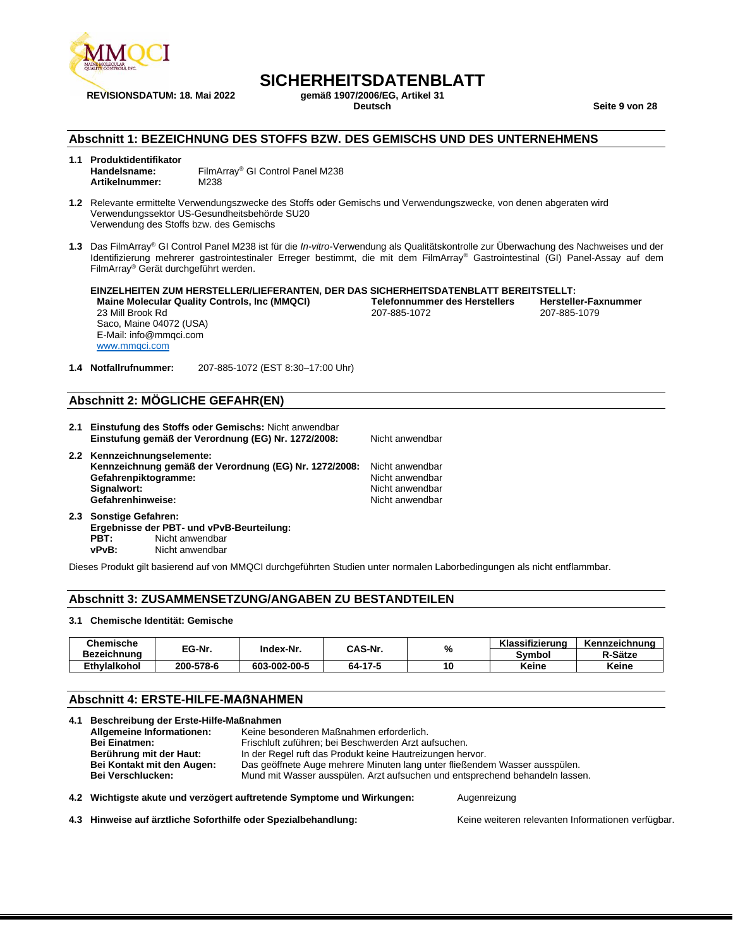

### **SICHERHEITSDATENBLATT**<br><sub>Gemäß</sub> 1907/2006/EG. Artikel 31

**Deutsch Seite 9 von 28**

#### **Abschnitt 1: BEZEICHNUNG DES STOFFS BZW. DES GEMISCHS UND DES UNTERNEHMENS**

### **1.1 Produktidentifikator**

- **Handelsname:** FilmArray® GI Control Panel M238 **Artikelnummer:** M238
- **1.2** Relevante ermittelte Verwendungszwecke des Stoffs oder Gemischs und Verwendungszwecke, von denen abgeraten wird Verwendungssektor US-Gesundheitsbehörde SU20 Verwendung des Stoffs bzw. des Gemischs
- **1.3** Das FilmArray® GI Control Panel M238 ist für die *In-vitro*-Verwendung als Qualitätskontrolle zur Überwachung des Nachweises und der Identifizierung mehrerer gastrointestinaler Erreger bestimmt, die mit dem FilmArray® Gastrointestinal (GI) Panel-Assay auf dem FilmArray® Gerät durchgeführt werden.

**EINZELHEITEN ZUM HERSTELLER/LIEFERANTEN, DER DAS SICHERHEITSDATENBLATT BEREITSTELLT: Maine Molecular Quality Controls, Inc (MMQCI) Telefonnummer des Herstellers Hersteller-Fax**<br>207-885-1079 207-885-1079 207-885-1079 23 Mill Brook Rd Saco, Maine 04072 (USA) E-Mail: info@mmqci.com [www.mmqci.com](http://www.mmqci.com/) 207-885-1072

**1.4 Notfallrufnummer:** 207-885-1072 (EST 8:30–17:00 Uhr)

#### **Abschnitt 2: MÖGLICHE GEFAHR(EN)**

- **2.1 Einstufung des Stoffs oder Gemischs:** Nicht anwendbar **Einstufung gemäß der Verordnung (EG) Nr. 1272/2008:** Nicht anwendbar **2.2 Kennzeichnungselemente: Kennzeichnung gemäß der Verordnung (EG) Nr. 1272/2008:** Nicht anwendbar
- **Gefahrenpiktogramme:** Nicht anwendbar **Signalwort:** Nicht anwendbar and the Signalwort: Nicht anwendbar and the Signalwort and the Signalworth and the Si<br> **Gefahrenhinweise:** Nicht anwendbar and the Signalworth and the Signalworth and the Signalworth and the S Gefahrenhinweise:
- **2.3 Sonstige Gefahren: Ergebnisse der PBT- und vPvB-Beurteilung: PBT:** Nicht anwendbar **vPvB:** Nicht anwendbar

Dieses Produkt gilt basierend auf von MMQCI durchgeführten Studien unter normalen Laborbedingungen als nicht entflammbar.

#### **Abschnitt 3: ZUSAMMENSETZUNG/ANGABEN ZU BESTANDTEILEN**

#### **3.1 Chemische Identität: Gemische**

| Chemische           | EG-Nr.    | Index-Nr.    | CAS-Nr. | %  | Klassifizierung | Kennzeichnung |
|---------------------|-----------|--------------|---------|----|-----------------|---------------|
| Bezeichnung         |           |              |         |    | Svmbol          | R-Sätze       |
| <b>Ethvlalkohol</b> | 200-578-6 | 603-002-00-5 | 64-17-5 | 10 | Keine           | Keine         |

#### **Abschnitt 4: ERSTE-HILFE-MAẞNAHMEN**

| 4.1 Beschreibung der Erste-Hilfe-Maßnahmen |                            |                                                                                        |  |  |  |
|--------------------------------------------|----------------------------|----------------------------------------------------------------------------------------|--|--|--|
|                                            | Allgemeine Informationen:  | Keine besonderen Maßnahmen erforderlich.                                               |  |  |  |
|                                            | <b>Bei Einatmen:</b>       | Frischluft zuführen; bei Beschwerden Arzt aufsuchen.                                   |  |  |  |
|                                            | Berührung mit der Haut:    | In der Regel ruft das Produkt keine Hautreizungen hervor.                              |  |  |  |
|                                            | Bei Kontakt mit den Augen: | Das geöffnete Auge mehrere Minuten lang unter fließendem Wasser ausspülen.             |  |  |  |
|                                            | <b>Bei Verschlucken:</b>   | Mund mit Wasser ausspülen. Arzt aufsuchen und entsprechend behandeln lassen.           |  |  |  |
|                                            |                            | 4.2 Wichtigste akute und verzögert auftretende Symptome und Wirkungen:<br>Augenreizung |  |  |  |

**4.3 Hinweise auf ärztliche Soforthilfe oder Spezialbehandlung:** Keine weiteren relevanten Informationen verfügbar.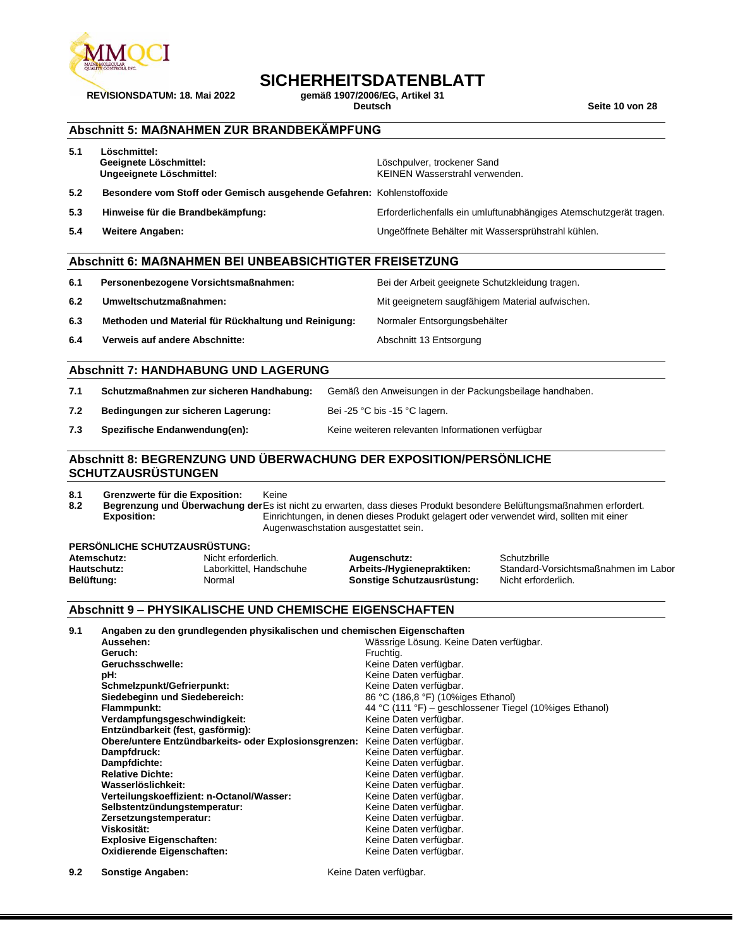

# **SICHERHEITSDATENBLATT**<br>gemäß 1907/2006/EG. Artikel 31

**REVISIONSDATUM: 18. Mai 2022 gemäß 1907/2006/EG, Artikel 31**

**Deutsch Seite 10 von 28**

#### **Abschnitt 5: MAẞNAHMEN ZUR BRANDBEKÄMPFUNG**

| 5.4 | <b>Weitere Angaben:</b>                                                | Ungeöffnete Behälter mit Wassersprühstrahl kühlen.                 |
|-----|------------------------------------------------------------------------|--------------------------------------------------------------------|
| 5.3 | Hinweise für die Brandbekämpfung:                                      | Erforderlichenfalls ein umluftunabhängiges Atemschutzgerät tragen. |
| 5.2 | Besondere vom Stoff oder Gemisch ausgehende Gefahren: Kohlenstoffoxide |                                                                    |
| 5.1 | Löschmittel:<br>Geeignete Löschmittel:<br>Ungeeignete Löschmittel:     | Löschpulver, trockener Sand<br>KEINEN Wasserstrahl verwenden.      |

#### **Abschnitt 6: MAẞNAHMEN BEI UNBEABSICHTIGTER FREISETZUNG**

| 6.1 | Personenbezogene Vorsichtsmaßnahmen:                 | Bei der Arbeit geeignete Schutzkleidung tragen. |
|-----|------------------------------------------------------|-------------------------------------------------|
| 6.2 | Umweltschutzmaßnahmen:                               | Mit geeignetem saugfähigem Material aufwischen. |
| 6.3 | Methoden und Material für Rückhaltung und Reinigung: | Normaler Entsorgungsbehälter                    |
| 6.4 | Verweis auf andere Abschnitte:                       | Abschnitt 13 Entsorgung                         |

#### **Abschnitt 7: HANDHABUNG UND LAGERUNG**

**7.1 Schutzmaßnahmen zur sicheren Handhabung:** Gemäß den Anweisungen in der Packungsbeilage handhaben.

- **7.2 Bedingungen zur sicheren Lagerung:** Bei -25 °C bis -15 °C lagern.
- 

**7.3 Spezifische Endanwendung(en):** Keine weiteren relevanten Informationen verfügbar

#### **Abschnitt 8: BEGRENZUNG UND ÜBERWACHUNG DER EXPOSITION/PERSÖNLICHE SCHUTZAUSRÜSTUNGEN**

**8.1 Grenzwerte für die Exposition:** Keine

**8.2 Begrenzung und Überwachung der**  Es ist nicht zu erwarten, dass dieses Produkt besondere Belüftungsmaßnahmen erfordert. **Exposition:** Einrichtungen, in denen dieses Produkt gelagert oder verwendet wird, sollten mit einer Augenwaschstation ausgestattet sein.

#### **PERSÖNLICHE SCHUTZAUSRÜSTUNG:**

| Atemschutz: | Nicht erforderlich.     | Augenschutz:               | Schutzbrille                         |
|-------------|-------------------------|----------------------------|--------------------------------------|
| Hautschutz: | Laborkittel. Handschuhe | Arbeits-/Hygienepraktiken: | Standard-Vorsichtsmaßnahmen im Labor |
| Belüftung:  | Normal                  | Sonstige Schutzausrüstung: | Nicht erforderlich.                  |
|             |                         |                            |                                      |

#### **Abschnitt 9 – PHYSIKALISCHE UND CHEMISCHE EIGENSCHAFTEN**

**9.1 Angaben zu den grundlegenden physikalischen und chemischen Eigenschaften**

| Wässrige Lösung. Keine Daten verfügbar.                                         |
|---------------------------------------------------------------------------------|
| Fruchtig.                                                                       |
| Keine Daten verfügbar.                                                          |
| Keine Daten verfügbar.                                                          |
| Keine Daten verfügbar.                                                          |
| 86 °C (186,8 °F) (10%iges Ethanol)                                              |
| 44 °C (111 °F) – geschlossener Tiegel (10%iges Ethanol)                         |
| Keine Daten verfügbar.                                                          |
| Keine Daten verfügbar.                                                          |
| Obere/untere Entzündbarkeits- oder Explosionsgrenzen:<br>Keine Daten verfügbar. |
| Keine Daten verfügbar.                                                          |
| Keine Daten verfügbar.                                                          |
| Keine Daten verfügbar.                                                          |
| Keine Daten verfügbar.                                                          |
| Keine Daten verfügbar.                                                          |
| Keine Daten verfügbar.                                                          |
| Keine Daten verfügbar.                                                          |
| Keine Daten verfügbar.                                                          |
| Keine Daten verfügbar.                                                          |
| Keine Daten verfügbar.                                                          |
|                                                                                 |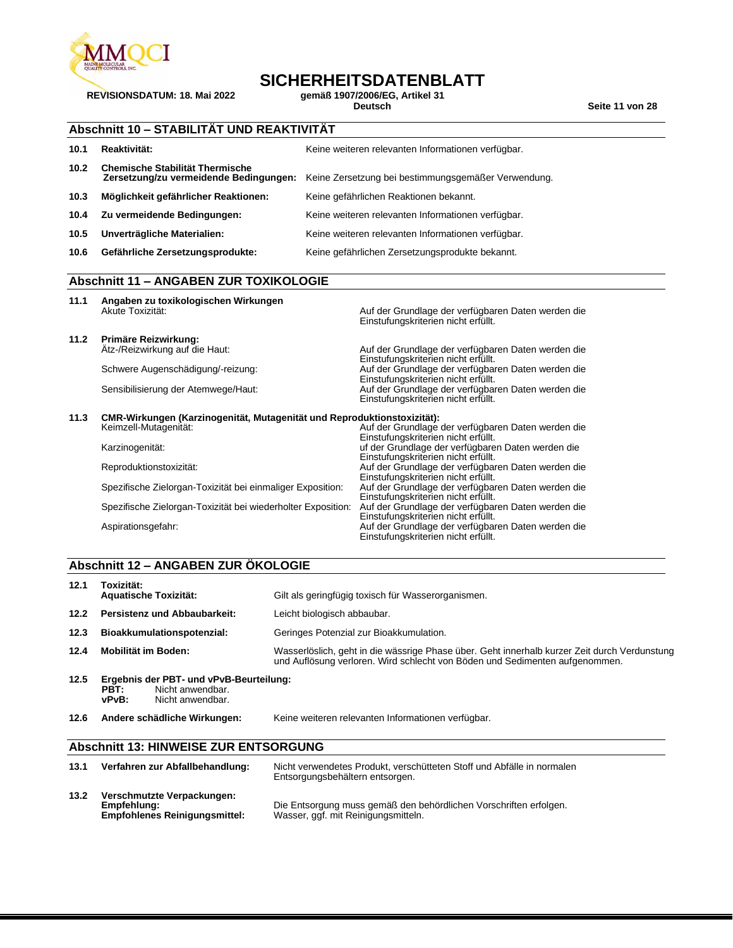

**REVISIONSDATUM: 18. Mai 2022 gemäß 1907/2006/EG, Artikel 31**

# **SICHERHEITSDATENBLATT**<br>gemäß 1907/2006/EG, Artikel 31

**Deutsch Seite 11 von 28**

### **Abschnitt 10 – STABILITÄT UND REAKTIVITÄT**

| 10.1              | Reaktivität:                           | Keine weiteren relevanten Informationen verfügbar.                                         |
|-------------------|----------------------------------------|--------------------------------------------------------------------------------------------|
| 10.2 <sub>1</sub> | <b>Chemische Stabilität Thermische</b> | Zersetzung/zu vermeidende Bedingungen: Keine Zersetzung bei bestimmungsgemäßer Verwendung. |
| 10.3              | Möglichkeit gefährlicher Reaktionen:   | Keine gefährlichen Reaktionen bekannt.                                                     |
| 10.4              | Zu vermeidende Bedingungen:            | Keine weiteren relevanten Informationen verfügbar.                                         |
| 10.5              | Unverträgliche Materialien:            | Keine weiteren relevanten Informationen verfügbar.                                         |
| 10.6              | Gefährliche Zersetzungsprodukte:       | Keine gefährlichen Zersetzungsprodukte bekannt.                                            |

#### **Abschnitt 11 – ANGABEN ZUR TOXIKOLOGIE**

| 11.1 | Angaben zu toxikologischen Wirkungen<br>Akute Toxizität:                | Auf der Grundlage der verfügbaren Daten werden die<br>Einstufungskriterien nicht erfüllt. |
|------|-------------------------------------------------------------------------|-------------------------------------------------------------------------------------------|
| 11.2 | Primäre Reizwirkung:<br>Atz-/Reizwirkung auf die Haut:                  | Auf der Grundlage der verfügbaren Daten werden die<br>Einstufungskriterien nicht erfüllt. |
|      | Schwere Augenschädigung/-reizung:                                       | Auf der Grundlage der verfügbaren Daten werden die<br>Einstufungskriterien nicht erfüllt. |
|      | Sensibilisierung der Atemwege/Haut:                                     | Auf der Grundlage der verfügbaren Daten werden die<br>Einstufungskriterien nicht erfüllt. |
| 11.3 | CMR-Wirkungen (Karzinogenität, Mutagenität und Reproduktionstoxizität): |                                                                                           |
|      | Keimzell-Mutagenität:                                                   | Auf der Grundlage der verfügbaren Daten werden die<br>Einstufungskriterien nicht erfüllt. |
|      | Karzinogenität:                                                         | uf der Grundlage der verfügbaren Daten werden die<br>Einstufungskriterien nicht erfüllt.  |
|      | Reproduktionstoxizität:                                                 | Auf der Grundlage der verfügbaren Daten werden die<br>Einstufungskriterien nicht erfüllt. |
|      | Spezifische Zielorgan-Toxizität bei einmaliger Exposition:              | Auf der Grundlage der verfügbaren Daten werden die<br>Einstufungskriterien nicht erfüllt. |
|      | Spezifische Zielorgan-Toxizität bei wiederholter Exposition:            | Auf der Grundlage der verfügbaren Daten werden die<br>Einstufungskriterien nicht erfüllt. |
|      | Aspirationsgefahr:                                                      | Auf der Grundlage der verfügbaren Daten werden die<br>Einstufungskriterien nicht erfüllt. |

#### **Abschnitt 12 – ANGABEN ZUR ÖKOLOGIE**

| 12.1 | Toxizität:<br><b>Aquatische Toxizität:</b>                                                       | Gilt als geringfügig toxisch für Wasserorganismen.                                                                                                                          |
|------|--------------------------------------------------------------------------------------------------|-----------------------------------------------------------------------------------------------------------------------------------------------------------------------------|
| 12.2 | Persistenz und Abbaubarkeit:                                                                     | Leicht biologisch abbaubar.                                                                                                                                                 |
| 12.3 | Bioakkumulationspotenzial:                                                                       | Geringes Potenzial zur Bioakkumulation.                                                                                                                                     |
| 12.4 | Mobilität im Boden:                                                                              | Wasserlöslich, geht in die wässrige Phase über. Geht innerhalb kurzer Zeit durch Verdunstung<br>und Auflösung verloren. Wird schlecht von Böden und Sedimenten aufgenommen. |
| 12.5 | Ergebnis der PBT- und vPvB-Beurteilung:<br>Nicht anwendbar.<br>PBT:<br>vPvB:<br>Nicht anwendbar. |                                                                                                                                                                             |

**12.6 Andere schädliche Wirkungen:** Keine weiteren relevanten Informationen verfügbar.

#### **Abschnitt 13: HINWEISE ZUR ENTSORGUNG**

| 13.1 | Verfahren zur Abfallbehandlung:                                                   | Nicht verwendetes Produkt, verschütteten Stoff und Abfälle in normalen<br>Entsorgungsbehältern entsorgen. |
|------|-----------------------------------------------------------------------------------|-----------------------------------------------------------------------------------------------------------|
| 13.2 | Verschmutzte Verpackungen:<br>Empfehlung:<br><b>Empfohlenes Reinigungsmittel:</b> | Die Entsorgung muss gemäß den behördlichen Vorschriften erfolgen.<br>Wasser, ggf. mit Reinigungsmitteln.  |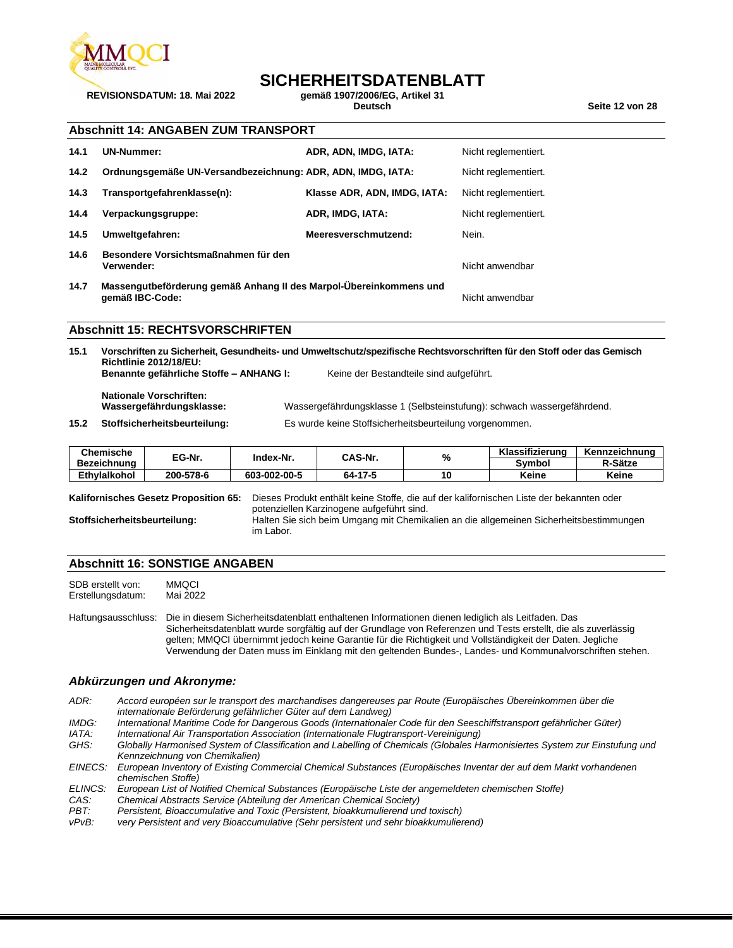

### **SICHERHEITSDATENBLATT**<br><sub>Gemäß</sub> 1907/2006/EG. Artikel 31

**REVISIONSDATUM: 18. Mai 2022 gemäß 1907/2006/EG, Artikel 31**

**Deutsch Seite 12 von 28**

#### **Abschnitt 14: ANGABEN ZUM TRANSPORT**

| 14.1 | <b>UN-Nummer:</b>                                                                     | ADR, ADN, IMDG, IATA:        | Nicht reglementiert. |
|------|---------------------------------------------------------------------------------------|------------------------------|----------------------|
| 14.2 | Ordnungsgemäße UN-Versandbezeichnung: ADR, ADN, IMDG, IATA:                           |                              | Nicht reglementiert. |
| 14.3 | Transportgefahrenklasse(n):                                                           | Klasse ADR, ADN, IMDG, IATA: | Nicht reglementiert. |
| 14.4 | Verpackungsgruppe:                                                                    | ADR, IMDG, IATA:             | Nicht reglementiert. |
| 14.5 | Umweltgefahren:                                                                       | Meeresverschmutzend:         | Nein.                |
| 14.6 | Besondere Vorsichtsmaßnahmen für den<br>Verwender:                                    |                              | Nicht anwendbar      |
| 14.7 | Massengutbeförderung gemäß Anhang II des Marpol-Übereinkommens und<br>gemäß IBC-Code: |                              | Nicht anwendbar      |

#### **Abschnitt 15: RECHTSVORSCHRIFTEN**

**15.1 Vorschriften zu Sicherheit, Gesundheits- und Umweltschutz/spezifische Rechtsvorschriften für den Stoff oder das Gemisch Richtlinie 2012/18/EU: Benannte gefährliche Stoffe – ANHANG I:** Keine der Bestandteile sind aufgeführt. **Nationale Vorschriften: Wassergefährdungsklasse:** Wassergefährdungsklasse 1 (Selbsteinstufung): schwach wassergefährdend. **15.2 Stoffsicherheitsbeurteilung:** Es wurde keine Stoffsicherheitsbeurteilung vorgenommen.

| <b>Chemische</b> |           | Index-Nr.    | CAS-Nr. | $\mathbf{0}$ | Klassifizierung | Kennzeichnung |
|------------------|-----------|--------------|---------|--------------|-----------------|---------------|
| Bezeichnung      | EG-Nr.    |              |         | 70           | Svmbol          | R-Sätze       |
| Ethvlalkohol     | 200-578-6 | 603-002-00-5 | 64-17-5 | 10           | Keine           | Keine         |

**Kalifornisches Gesetz Proposition 65:** Dieses Produkt enthält keine Stoffe, die auf der kalifornischen Liste der bekannten oder potenziellen Karzinogene aufgeführt sind. **Stoffsicherheitsbeurteilung:** Halten Sie sich beim Umgang mit Chemikalien an die allgemeinen Sicherheitsbestimmungen im Labor.

#### **Abschnitt 16: SONSTIGE ANGABEN**

SDB erstellt von: MMQCI<br>Erstellungsdatum: Mai 2022 Erstellungsdatum:

Haftungsausschluss: Die in diesem Sicherheitsdatenblatt enthaltenen Informationen dienen lediglich als Leitfaden. Das Sicherheitsdatenblatt wurde sorgfältig auf der Grundlage von Referenzen und Tests erstellt, die als zuverlässig gelten; MMQCI übernimmt jedoch keine Garantie für die Richtigkeit und Vollständigkeit der Daten. Jegliche Verwendung der Daten muss im Einklang mit den geltenden Bundes-, Landes- und Kommunalvorschriften stehen.

#### *Abkürzungen und Akronyme:*

*ADR: Accord européen sur le transport des marchandises dangereuses par Route (Europäisches Übereinkommen über die internationale Beförderung gefährlicher Güter auf dem Landweg)*

*IMDG: International Maritime Code for Dangerous Goods (Internationaler Code für den Seeschiffstransport gefährlicher Güter)*

*IATA: International Air Transportation Association (Internationale Flugtransport-Vereinigung)*

*GHS: Globally Harmonised System of Classification and Labelling of Chemicals (Globales Harmonisiertes System zur Einstufung und Kennzeichnung von Chemikalien)*

*EINECS: European Inventory of Existing Commercial Chemical Substances (Europäisches Inventar der auf dem Markt vorhandenen chemischen Stoffe)*

*ELINCS: European List of Notified Chemical Substances (Europäische Liste der angemeldeten chemischen Stoffe)*

*CAS: Chemical Abstracts Service (Abteilung der American Chemical Society)*

*PBT: Persistent, Bioaccumulative and Toxic (Persistent, bioakkumulierend und toxisch)*

very Persistent and very Bioaccumulative (Sehr persistent und sehr bioakkumulierend)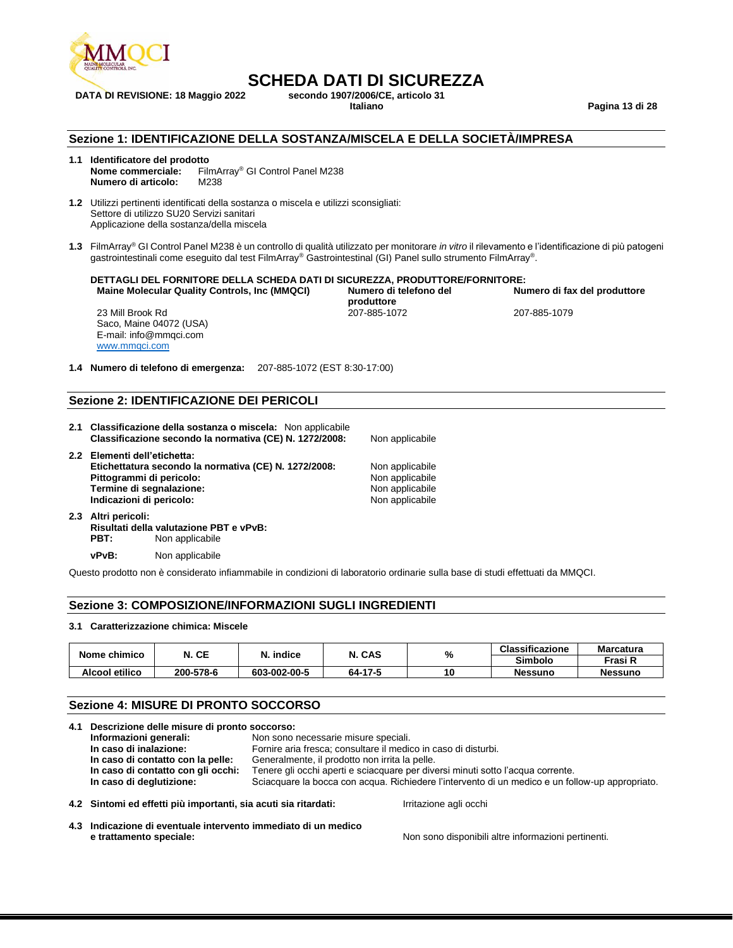

### DATA DI REVISIONE: 18 Maggio 2022 **secondo 1907/2006/C**<br>Italiano

**SCHEDA DATI DI SICUREZZA**<br>secondo 1907/2006/CE. articolo 31

**Italiano Pagina 13 di 28**

#### **Sezione 1: IDENTIFICAZIONE DELLA SOSTANZA/MISCELA E DELLA SOCIETÀ/IMPRESA**

### **1.1 Identificatore del prodotto**

**Nome commerciale:** FilmArray® GI Control Panel M238 **Numero di articolo:** M238

**1.2** Utilizzi pertinenti identificati della sostanza o miscela e utilizzi sconsigliati: Settore di utilizzo SU20 Servizi sanitari Applicazione della sostanza/della miscela

**1.3** FilmArray® GI Control Panel M238 è un controllo di qualità utilizzato per monitorare *in vitro* il rilevamento e l'identificazione di più patogeni gastrointestinali come eseguito dal test FilmArray® Gastrointestinal (GI) Panel sullo strumento FilmArray® .

#### **DETTAGLI DEL FORNITORE DELLA SCHEDA DATI DI SICUREZZA, PRODUTTORE/FORNITORE: Maine Molecular**

| ular Quality Controls, Inc (MMQCI) | Numero di telefono del | Numero di fax del produttore |
|------------------------------------|------------------------|------------------------------|
|                                    | produttore             |                              |
| Rd                                 | 207-885-1072           | 207-885-1079                 |

23 Mill Brook Saco, Maine 04072 (USA) E-mail: info@mmqci.com [www.mmqci.com](http://www.mmqci.com/)

**1.4 Numero di telefono di emergenza:** 207-885-1072 (EST 8:30-17:00)

#### **Sezione 2: IDENTIFICAZIONE DEI PERICOLI**

**2.1 Classificazione della sostanza o miscela:** Non applicabile

| Classificazione secondo la normativa (CE) N. 1272/2008: | Non applicabile |
|---------------------------------------------------------|-----------------|
| 2.2 Elementi dell'etichetta:                            |                 |
| Etichettatura secondo la normativa (CE) N. 1272/2008:   | Non applicabile |
| Pittogrammi di pericolo:                                | Non applicabile |
| Termine di segnalazione:                                | Non applicabile |
| Indicazioni di pericolo:                                | Non applicabile |

**2.3 Altri pericoli: Risultati della valutazione PBT e vPvB: Non applicabile** 

**vPvB:** Non applicabile

Questo prodotto non è considerato infiammabile in condizioni di laboratorio ordinarie sulla base di studi effettuati da MMQCI.

#### **Sezione 3: COMPOSIZIONE/INFORMAZIONI SUGLI INGREDIENTI**

#### **3.1 Caratterizzazione chimica: Miscele**

| Nome chimico   | N. CE     | N. indice    | N. CAS  | % | <b>Classificazione</b> | <b>Marcatura</b> |
|----------------|-----------|--------------|---------|---|------------------------|------------------|
|                |           |              |         |   | <b>Simbolo</b>         | Frasi R          |
| Alcool etilico | 200-578-6 | 603-002-00-5 | 64-17-5 |   | <b>Nessuno</b>         | <b>Nessuno</b>   |

#### **Sezione 4: MISURE DI PRONTO SOCCORSO**

| 4.1 Descrizione delle misure di pronto soccorso:                |                                                                                                 |  |  |  |
|-----------------------------------------------------------------|-------------------------------------------------------------------------------------------------|--|--|--|
| Informazioni generali:                                          | Non sono necessarie misure speciali.                                                            |  |  |  |
| In caso di inalazione:                                          | Fornire aria fresca; consultare il medico in caso di disturbi.                                  |  |  |  |
| In caso di contatto con la pelle:                               | Generalmente, il prodotto non irrita la pelle.                                                  |  |  |  |
| In caso di contatto con gli occhi:                              | Tenere gli occhi aperti e sciacquare per diversi minuti sotto l'acqua corrente.                 |  |  |  |
| In caso di deglutizione:                                        | Sciacquare la bocca con acqua. Richiedere l'intervento di un medico e un follow-up appropriato. |  |  |  |
| 4.2 Sintomi ed effetti più importanti, sia acuti sia ritardati: | Irritazione agli occhi                                                                          |  |  |  |

**4.3 Indicazione di eventuale intervento immediato di un medico e trattamento speciale:** Non sono disponibili altre informazioni pertinenti.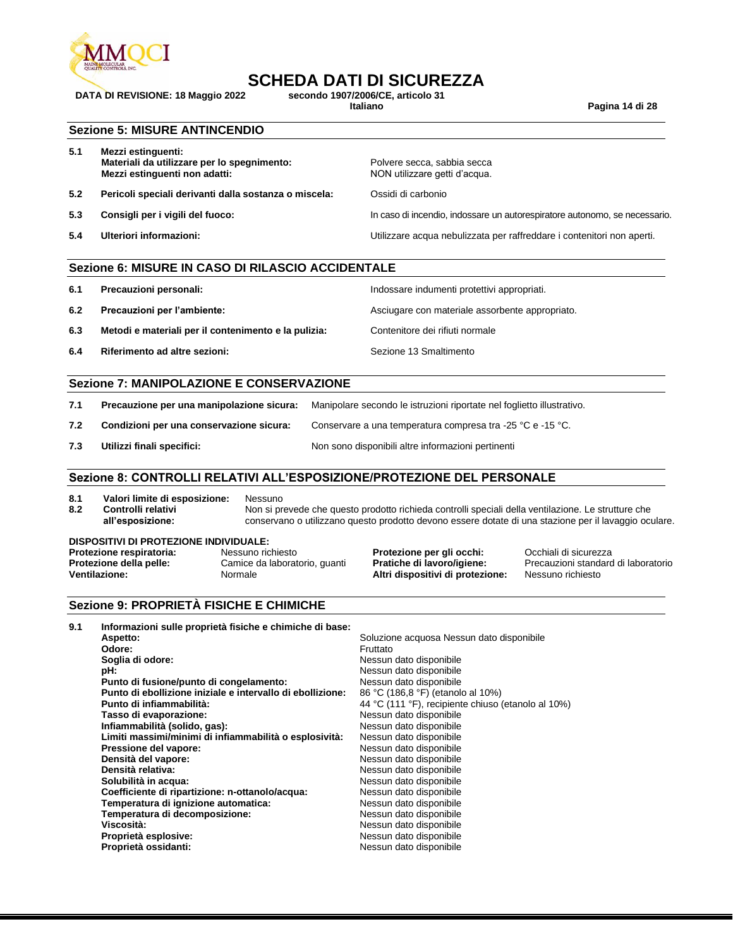

# **SCHEDA DATI DI SICUREZZA**<br>secondo 1907/2006/CE. articolo 31

DATA DI REVISIONE: 18 Maggio 2022 **secondo 1907/2006/C**<br>Italiano

**Italiano Pagina 14 di 28**

#### **Sezione 5: MISURE ANTINCENDIO**

| 5.1 | Mezzi estinguenti:<br>Materiali da utilizzare per lo spegnimento:<br>Mezzi estinguenti non adatti: | Polvere secca, sabbia secca<br>NON utilizzare getti d'acqua.               |
|-----|----------------------------------------------------------------------------------------------------|----------------------------------------------------------------------------|
| 5.2 | Pericoli speciali derivanti dalla sostanza o miscela:                                              | Ossidi di carbonio                                                         |
| 5.3 | Consigli per i vigili del fuoco:                                                                   | In caso di incendio, indossare un autorespiratore autonomo, se necessario. |
| 5.4 | Ulteriori informazioni:                                                                            | Utilizzare acqua nebulizzata per raffreddare i contenitori non aperti.     |

#### **Sezione 6: MISURE IN CASO DI RILASCIO ACCIDENTALE**

- **6.1 Precauzioni personali:** Indossare indumenti protettivi appropriati.
- **6.2 Precauzioni per l'ambiente:** Asciugare con materiale assorbente appropriato.
- **6.3 Metodi e materiali per il contenimento e la pulizia:** Contenitore dei rifiuti normale
- **6.4 Riferimento ad altre sezioni:** Sezione 13 Smaltimento

#### **Sezione 7: MANIPOLAZIONE E CONSERVAZIONE**

| 7.1 | Precauzione per una manipolazione sicura: | Manipolare secondo le istruzioni riportate nel foglietto illustrativo. |
|-----|-------------------------------------------|------------------------------------------------------------------------|
| 7.2 | Condizioni per una conservazione sicura:  | Conservare a una temperatura compresa tra -25 °C e -15 °C.             |
| 7.3 | Utilizzi finali specifici:                | Non sono disponibili altre informazioni pertinenti                     |

#### **Sezione 8: CONTROLLI RELATIVI ALL'ESPOSIZIONE/PROTEZIONE DEL PERSONALE**

- **8.1 Valori limite di esposizione:** Nessuno
- **8.2 Controlli relativi all'esposizione:** Non si prevede che questo prodotto richieda controlli speciali della ventilazione. Le strutture che conservano o utilizzano questo prodotto devono essere dotate di una stazione per il lavaggio oculare.

#### **DISPOSITIVI DI PROTEZIONE INDIVIDUALE:**

| Protezione respiratoria: | Nessuno richiesto             | Protezio        |
|--------------------------|-------------------------------|-----------------|
| Protezione della pelle:  | Camice da laboratorio, quanti | <b>Pratiche</b> |
| Ventilazione:            | Normale                       | Altri disi      |

**Protegionalisto Frotezione respiratoria:** Negli occhiali di sicurezza<br>**di lavoro/igiene:** Precauzioni standard **Positivi di protezione:** Nessuno richiesto

Precauzioni standard di laboratorio

#### **Sezione 9: PROPRIETÀ FISICHE E CHIMICHE**

| 9.1 | Informazioni sulle proprietà fisiche e chimiche di base:   |                                                    |
|-----|------------------------------------------------------------|----------------------------------------------------|
|     | Aspetto:                                                   | Soluzione acquosa Nessun dato disponibile          |
|     | Odore:                                                     | Fruttato                                           |
|     | Soglia di odore:                                           | Nessun dato disponibile                            |
|     | pH:                                                        | Nessun dato disponibile                            |
|     | Punto di fusione/punto di congelamento:                    | Nessun dato disponibile                            |
|     | Punto di ebollizione iniziale e intervallo di ebollizione: | 86 °C (186,8 °F) (etanolo al 10%)                  |
|     | Punto di infiammabilità:                                   | 44 °C (111 °F), recipiente chiuso (etanolo al 10%) |
|     | Tasso di evaporazione:                                     | Nessun dato disponibile                            |
|     | Infiammabilità (solido, gas):                              | Nessun dato disponibile                            |
|     | Limiti massimi/minimi di infiammabilità o esplosività:     | Nessun dato disponibile                            |
|     | Pressione del vapore:                                      | Nessun dato disponibile                            |
|     | Densità del vapore:                                        | Nessun dato disponibile                            |
|     | Densità relativa:                                          | Nessun dato disponibile                            |
|     | Solubilità in acqua:                                       | Nessun dato disponibile                            |
|     | Coefficiente di ripartizione: n-ottanolo/acqua:            | Nessun dato disponibile                            |
|     | Temperatura di ignizione automatica:                       | Nessun dato disponibile                            |
|     | Temperatura di decomposizione:                             | Nessun dato disponibile                            |
|     | Viscosità:                                                 | Nessun dato disponibile                            |
|     | Proprietà esplosive:                                       | Nessun dato disponibile                            |
|     | Proprietà ossidanti:                                       | Nessun dato disponibile                            |
|     |                                                            |                                                    |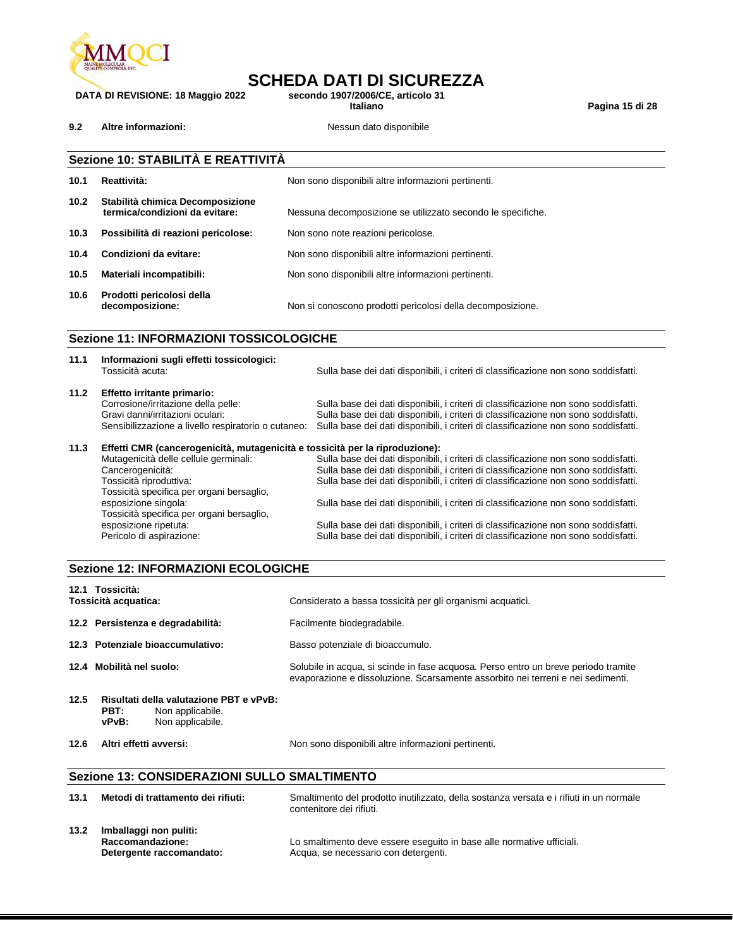

### **SCHEDA DATI DI SICUREZZA**<br>secondo 1907/2006/CE. articolo 31

**DATA DI REVISIONE: 18 Maggio 2022 secondo 1907/2006/C**<br>Italiano

**Italiano Pagina 15 di 28**

**9.2 Altre informazioni: Nessun dato disponibile** 

|                   | Sezione 10: STABILITÀ E REATTIVITÀ                                 |                                                             |  |  |
|-------------------|--------------------------------------------------------------------|-------------------------------------------------------------|--|--|
| 10.1              | Reattività:                                                        | Non sono disponibili altre informazioni pertinenti.         |  |  |
| 10.2 <sub>1</sub> | Stabilità chimica Decomposizione<br>termica/condizioni da evitare: | Nessuna decomposizione se utilizzato secondo le specifiche. |  |  |
| 10.3              | Possibilità di reazioni pericolose:                                | Non sono note reazioni pericolose.                          |  |  |
| 10.4              | Condizioni da evitare:                                             | Non sono disponibili altre informazioni pertinenti.         |  |  |
| 10.5              | Materiali incompatibili:                                           | Non sono disponibili altre informazioni pertinenti.         |  |  |
| 10.6              | Prodotti pericolosi della<br>decomposizione:                       | Non si conoscono prodotti pericolosi della decomposizione.  |  |  |
|                   | <b>Sezione 11: INFORMAZIONI TOSSICOLOGICHE</b>                     |                                                             |  |  |

#### **11.1 Informazioni sugli effetti tossicologici:** Sulla base dei dati disponibili, i criteri di classificazione non sono soddisfatti. **11.2 Effetto irritante primario:** Corrosione/irritazione della pelle: Sulla base dei dati disponibili, i criteri di classificazione non sono soddisfatti.<br>Sulla base dei dati disponibili, i criteri di classificazione non sono soddisfatti. Gravi danni/irritazioni oculari: Sulla base dei dati disponibili, i criteri di classificazione non sono soddisfatti.<br>Sensibilizzazione a livello respiratorio o cutaneo: Sulla base dei dati disponibili, i criteri di classif Sulla base dei dati disponibili, i criteri di classificazione non sono soddisfatti. **11.3 Effetti CMR (cancerogenicità, mutagenicità e tossicità per la riproduzione):** Mutagenicità delle cellule germinali:<br>Cancerogenicità: Sulla base dei dati disponibili, i criteri di classificazione non sono soddisfatti. Cancerogenicità: Sulla base dei dati disponibili, i criteri di classificazione non sono soddisfatti. Sulla base dei dati disponibili, i criteri di classificazione non sono soddisfatti. Tossicità specifica per organi bersaglio, esposizione singola: Sulla base dei dati disponibili, i criteri di classificazione non sono soddisfatti. Tossicità specifica per organi bersaglio, Sulla base dei dati disponibili, i criteri di classificazione non sono soddisfatti. Pericolo di aspirazione: Sulla base dei dati disponibili, i criteri di classificazione non sono soddisfatti.

#### **Sezione 12: INFORMAZIONI ECOLOGICHE**

| 12.1 Tossicità:<br>Tossicità acquatica: |                                                                                                  | Considerato a bassa tossicità per gli organismi acquatici.                                                                                                            |  |  |
|-----------------------------------------|--------------------------------------------------------------------------------------------------|-----------------------------------------------------------------------------------------------------------------------------------------------------------------------|--|--|
|                                         | 12.2 Persistenza e degradabilità:                                                                | Facilmente biodegradabile.                                                                                                                                            |  |  |
|                                         | 12.3 Potenziale bioaccumulativo:                                                                 | Basso potenziale di bioaccumulo.                                                                                                                                      |  |  |
|                                         | 12.4 Mobilità nel suolo:                                                                         | Solubile in acqua, si scinde in fase acquosa. Perso entro un breve periodo tramite<br>evaporazione e dissoluzione. Scarsamente assorbito nei terreni e nei sedimenti. |  |  |
| 12.5                                    | Risultati della valutazione PBT e vPvB:<br>PBT:<br>Non applicabile.<br>Non applicabile.<br>vPvB: |                                                                                                                                                                       |  |  |
| 12.6                                    | Altri effetti avversi:                                                                           | Non sono disponibili altre informazioni pertinenti.                                                                                                                   |  |  |
|                                         | Sezione 13: CONSIDERAZIONI SULLO SMALTIMENTO                                                     |                                                                                                                                                                       |  |  |
| 13.1                                    | Metodi di trattamento dei rifiuti:                                                               | Smaltimento del prodotto inutilizzato, della sostanza versata e i rifiuti in un normale<br>contenitore dei rifiuti.                                                   |  |  |

**13.2 Imballaggi non puliti:** Lo smaltimento deve essere eseguito in base alle normative ufficiali. **Detergente raccomandato:** Acqua, se necessario con detergenti.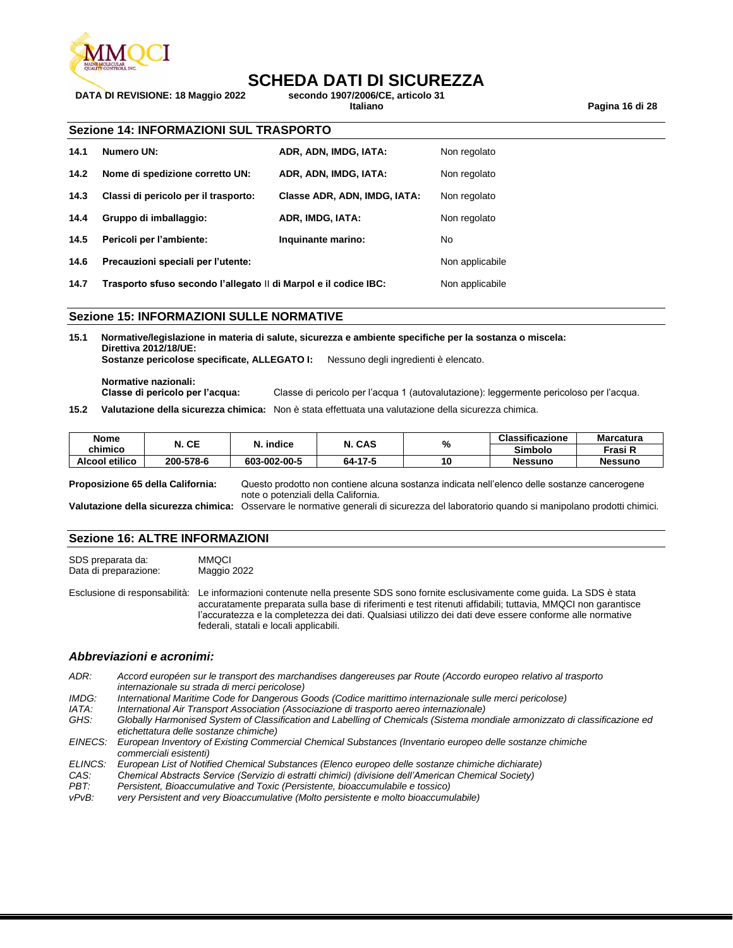

# **SCHEDA DATI DI SICUREZZA**<br>secondo 1907/2006/CE. articolo 31

**DATA DI REVISIONE: 18 Maggio 2022 secondo 1907/2006/CE, articolo 31**

**Italiano Pagina 16 di 28**

#### **Sezione 14: INFORMAZIONI SUL TRASPORTO**

| 14.1            | Numero UN:                                                         | ADR, ADN, IMDG, IATA:        | Non regolato              |
|-----------------|--------------------------------------------------------------------|------------------------------|---------------------------|
| 14.2            | Nome di spedizione corretto UN:                                    | ADR, ADN, IMDG, IATA:        | Non regolato              |
| 14.3            | Classi di pericolo per il trasporto:                               | Classe ADR, ADN, IMDG, IATA: | Non regolato              |
| 14.4            | Gruppo di imballaggio:                                             | ADR, IMDG, IATA:             | Non regolato              |
| 14.5            | Pericoli per l'ambiente:                                           | Inquinante marino:           | No                        |
| 14.6            | Precauzioni speciali per l'utente:                                 |                              | Non applicabile           |
| $\overline{11}$ | Topponente efices essende l'allenate il di Manuel e il sedice IDO: |                              | الملاحمة المرمرم المرملية |

**14.7 Trasporto sfuso secondo l'allegato** II **di Marpol e il codice IBC:** Non applicabile

#### **Sezione 15: INFORMAZIONI SULLE NORMATIVE**

**15.1 Normative/legislazione in materia di salute, sicurezza e ambiente specifiche per la sostanza o miscela: Direttiva 2012/18/UE: Sostanze pericolose specificate, ALLEGATO I:** Nessuno degli ingredienti è elencato.

**Normative nazionali: Classe di pericolo per l'acqua:** Classe di pericolo per l'acqua 1 (autovalutazione): leggermente pericoloso per l'acqua.

**15.2 Valutazione della sicurezza chimica:** Non è stata effettuata una valutazione della sicurezza chimica.

| <b>Nome</b><br>chimico                                                   | N. CE     | N. indice    | N. CAS  | %                                                                                            | <b>Classificazione</b><br>Simbolo | Marcatura<br>Frasi R |
|--------------------------------------------------------------------------|-----------|--------------|---------|----------------------------------------------------------------------------------------------|-----------------------------------|----------------------|
| <b>Alcool etilico</b>                                                    | 200-578-6 | 603-002-00-5 | 64-17-5 | 10                                                                                           | <b>Nessuno</b>                    | <b>Nessuno</b>       |
| Proposizione 65 della California:<br>note o potenziali della California. |           |              |         | Questo prodotto non contiene alcuna sostanza indicata nell'elenco delle sostanze cancerogene |                                   |                      |

**Valutazione della sicurezza chimica:** Osservare le normative generali di sicurezza del laboratorio quando si manipolano prodotti chimici.

#### **Sezione 16: ALTRE INFORMAZIONI**

SDS preparata da: MMQCI Data di preparazione: Maggio 2022

Esclusione di responsabilità: Le informazioni contenute nella presente SDS sono fornite esclusivamente come guida. La SDS è stata accuratamente preparata sulla base di riferimenti e test ritenuti affidabili; tuttavia, MMQCI non garantisce l'accuratezza e la completezza dei dati. Qualsiasi utilizzo dei dati deve essere conforme alle normative federali, statali e locali applicabili.

#### *Abbreviazioni e acronimi:*

- *ADR: Accord européen sur le transport des marchandises dangereuses par Route (Accordo europeo relativo al trasporto internazionale su strada di merci pericolose)*
- *IMDG: International Maritime Code for Dangerous Goods (Codice marittimo internazionale sulle merci pericolose)*
- *IATA: International Air Transport Association (Associazione di trasporto aereo internazionale)*
- *GHS: Globally Harmonised System of Classification and Labelling of Chemicals (Sistema mondiale armonizzato di classificazione ed etichettatura delle sostanze chimiche)*
- *EINECS: European Inventory of Existing Commercial Chemical Substances (Inventario europeo delle sostanze chimiche commerciali esistenti)*
- *ELINCS: European List of Notified Chemical Substances (Elenco europeo delle sostanze chimiche dichiarate)*
- *CAS: Chemical Abstracts Service (Servizio di estratti chimici) (divisione dell'American Chemical Society)*
- *PBT: Persistent, Bioaccumulative and Toxic (Persistente, bioaccumulabile e tossico)*
- very Persistent and very Bioaccumulative (Molto persistente e molto bioaccumulabile)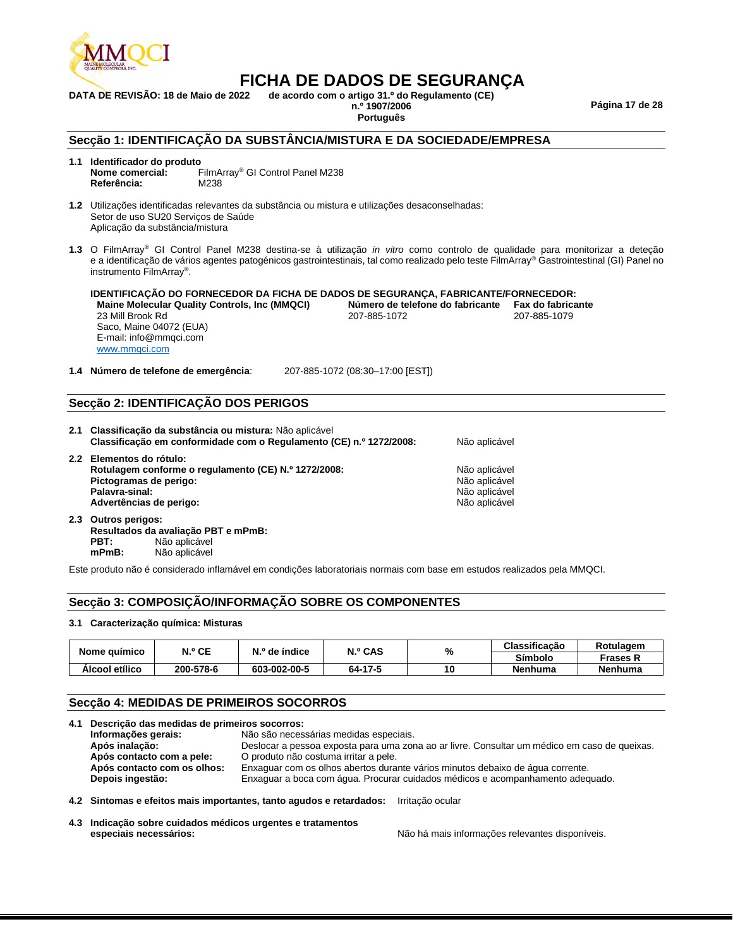

**DATA DE REVISÃO: 18 de Maio de 2022 de acordo com o artigo 31.º do Regulamento (CE)** 

**n.º 1907/2006 Página 17 de 28**

**Português**

#### **Secção 1: IDENTIFICAÇÃO DA SUBSTÂNCIA/MISTURA E DA SOCIEDADE/EMPRESA**

### **1.1 Identificador do produto**

FilmArray<sup>®</sup> GI Control Panel M238<br>M238 **Referência:** 

**1.2** Utilizações identificadas relevantes da substância ou mistura e utilizações desaconselhadas: Setor de uso SU20 Serviços de Saúde Aplicação da substância/mistura

**1.3** O FilmArray® GI Control Panel M238 destina-se à utilização *in vitro* como controlo de qualidade para monitorizar a deteção e a identificação de vários agentes patogénicos gastrointestinais, tal como realizado pelo teste FilmArray® Gastrointestinal (GI) Panel no instrumento FilmArray® .

**IDENTIFICAÇÃO DO FORNECEDOR DA FICHA DE DADOS DE SEGURANÇA, FABRICANTE/FORNECEDOR: Maine Molecular Quality Controls, Inc (MMQCI) Número de telefone do fabricante Fax do fabricante** 23 Mill Brook Rd Saco, Maine 04072 (EUA) E-mail: info@mmqci.com [www.mmqci.com](http://www.mmqci.com/) 207-885-1072

**1.4 Número de telefone de emergência**: 207-885-1072 (08:30–17:00 [EST])

#### **Secção 2: IDENTIFICAÇÃO DOS PERIGOS**

| 2.2 Elementos do rótulo:                                                                                                                                                                        | Não aplicável |
|-------------------------------------------------------------------------------------------------------------------------------------------------------------------------------------------------|---------------|
| Rotulagem conforme o regulamento (CE) N.º 1272/2008:<br>Não aplicável<br>Pictogramas de perigo:<br>Não aplicável<br>Palavra-sinal:<br>Não aplicável<br>Advertências de perigo:<br>Não aplicável |               |

**2.3 Outros perigos: Resultados da avaliação PBT e mPmB: PBT:** Não aplicável<br> **mPmB:** Não aplicável **mPmB:** Não aplicável

Este produto não é considerado inflamável em condições laboratoriais normais com base em estudos realizados pela MMQCI.

#### **Secção 3: COMPOSIÇÃO/INFORMAÇÃO SOBRE OS COMPONENTES**

#### **3.1 Caracterização química: Misturas**

| Nome guímico   | N.º CE    | N.º de índice | N.º CAS | % | Classificação  | Rotulagem      |
|----------------|-----------|---------------|---------|---|----------------|----------------|
|                |           |               |         |   | <b>Símbolo</b> | Frases K       |
| Alcool etílico | 200-578-6 | 603-002-00-5  | 64-17-5 |   | Nenhuma        | <b>Nenhuma</b> |

#### **Secção 4: MEDIDAS DE PRIMEIROS SOCORROS**

| 4.1 Descrição das medidas de primeiros socorros: |                             |                                                                                                                                       |  |  |  |  |
|--------------------------------------------------|-----------------------------|---------------------------------------------------------------------------------------------------------------------------------------|--|--|--|--|
|                                                  | Informações gerais:         | Não são necessárias medidas especiais.                                                                                                |  |  |  |  |
|                                                  | Após inalação:              | Deslocar a pessoa exposta para uma zona ao ar livre. Consultar um médico em caso de queixas.<br>O produto não costuma irritar a pele. |  |  |  |  |
|                                                  | Após contacto com a pele:   |                                                                                                                                       |  |  |  |  |
|                                                  | Após contacto com os olhos: | Enxaguar com os olhos abertos durante vários minutos debaixo de água corrente.                                                        |  |  |  |  |
|                                                  | Depois ingestão:            | Enxaguar a boca com água. Procurar cuidados médicos e acompanhamento adequado.                                                        |  |  |  |  |
|                                                  |                             | 4.2 Sintomas e efeitos mais importantes, tanto agudos e retardados: Irritação ocular                                                  |  |  |  |  |

**4.3 Indicação sobre cuidados médicos urgentes e tratamentos especiais necessários:** Não há mais informações relevantes disponíveis.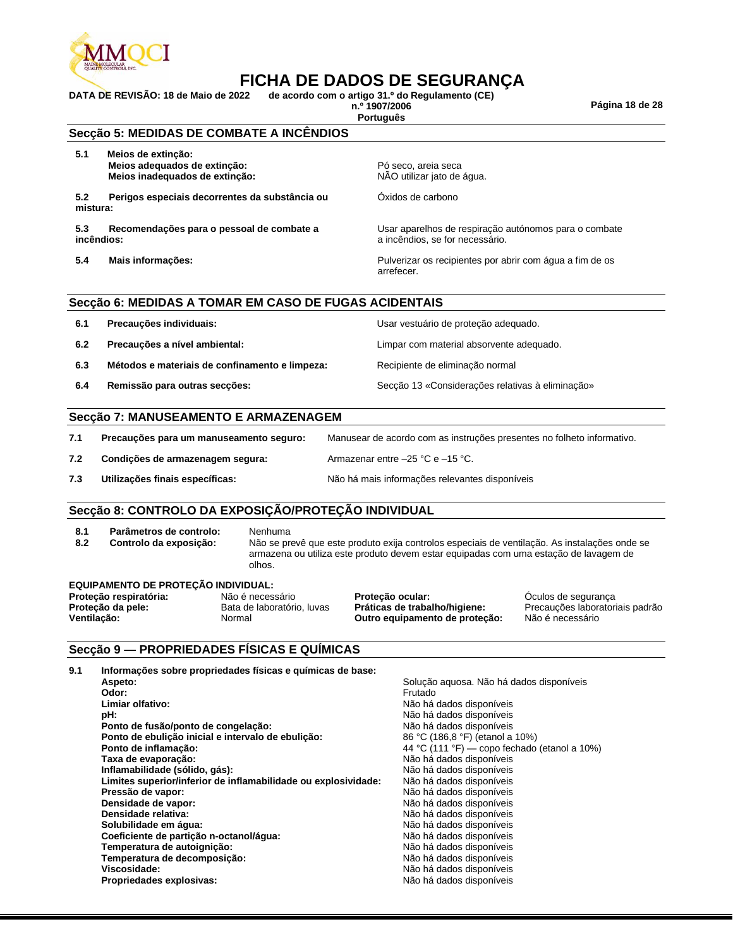

**DATA DE REVISÃO: 18 de Maio de 2022 de acordo com o artigo 31.º do Regulamento (CE)** 

**n.º 1907/2006 Página 18 de 28**

**Português**

**Secção 5: MEDIDAS DE COMBATE A INCÊNDIOS**

**5.1 Meios de extinção: Meios adequados de extinção:** Pó seco, areia seca<br> **Meios inadequados de extinção:** Portugal extinção: Portugal extinção: **Meios inadequados de extinção:** 

**5.2 Perigos especiais decorrentes da substância ou mistura:**

**5.3 Recomendações para o pessoal de combate a incêndios:**

Óxidos de carbono

Usar aparelhos de respiração autónomos para o combate a incêndios, se for necessário.

**5.4 Mais informações:** Pulverizar os recipientes por abrir com água a fim de os arrefecer.

#### **Secção 6: MEDIDAS A TOMAR EM CASO DE FUGAS ACIDENTAIS**

| 6.1 | Precauções individuais:                        | Usar vestuário de proteção adequado.             |
|-----|------------------------------------------------|--------------------------------------------------|
| 6.2 | Precauções a nível ambiental:                  | Limpar com material absorvente adequado.         |
| 6.3 | Métodos e materiais de confinamento e limpeza: | Recipiente de eliminação normal                  |
| 6.4 | Remissão para outras secções:                  | Secção 13 «Considerações relativas à eliminação» |

#### **Secção 7: MANUSEAMENTO E ARMAZENAGEM**

| 7.1 | Precauções para um manuseamento seguro: | Manusear de acordo com as instruções presentes no folheto informativo. |
|-----|-----------------------------------------|------------------------------------------------------------------------|
| 7.2 | Condições de armazenagem segura:        | Armazenar entre $-25$ °C e $-15$ °C.                                   |
| 7.3 | Utilizações finais específicas:         | Não há mais informações relevantes disponíveis                         |

#### **Secção 8: CONTROLO DA EXPOSIÇÃO/PROTEÇÃO INDIVIDUAL**

- **8.1 Parâmetros de controlo:** Nenhuma
- 

**8.2 Controlo da exposição:** Não se prevê que este produto exija controlos especiais de ventilação. As instalações onde se armazena ou utiliza este produto devem estar equipadas com uma estação de lavagem de olhos.

#### **EQUIPAMENTO DE PROTEÇÃO INDIVIDUAL:**

**Proteção respiratória:** Não é necessário **Proteção ocular:** Óculos de segurança Bata de laboratório, luvas **Práticas de trabalho/higiene:** Precauções laboratoriais padrão **Ventilação:** Normal **Outro equipamento de proteção:** Não é necessário

#### **Secção 9 — PROPRIEDADES FÍSICAS E QUÍMICAS**

| 9.1 | Informações sobre propriedades físicas e químicas de base:     |                                              |
|-----|----------------------------------------------------------------|----------------------------------------------|
|     | Aspeto:                                                        | Solução aguosa. Não há dados disponíveis     |
|     | Odor:                                                          | Frutado                                      |
|     | Limiar olfativo:                                               | Não há dados disponíveis                     |
|     | pH:                                                            | Não há dados disponíveis                     |
|     | Ponto de fusão/ponto de congelação:                            | Não há dados disponíveis                     |
|     | Ponto de ebulição inicial e intervalo de ebulição:             | 86 °C (186,8 °F) (etanol a 10%)              |
|     | Ponto de inflamação:                                           | 44 °C (111 °F) — copo fechado (etanol a 10%) |
|     | Taxa de evaporação:                                            | Não há dados disponíveis                     |
|     | Inflamabilidade (sólido, gás):                                 | Não há dados disponíveis                     |
|     | Limites superior/inferior de inflamabilidade ou explosividade: | Não há dados disponíveis                     |
|     | Pressão de vapor:                                              | Não há dados disponíveis                     |
|     | Densidade de vapor:                                            | Não há dados disponíveis                     |
|     | Densidade relativa:                                            | Não há dados disponíveis                     |
|     | Solubilidade em água:                                          | Não há dados disponíveis                     |
|     | Coeficiente de partição n-octanol/água:                        | Não há dados disponíveis                     |
|     | Temperatura de autoignição:                                    | Não há dados disponíveis                     |
|     | Temperatura de decomposição:                                   | Não há dados disponíveis                     |
|     | Viscosidade:                                                   | Não há dados disponíveis                     |
|     | Propriedades explosivas:                                       | Não há dados disponíveis                     |
|     |                                                                |                                              |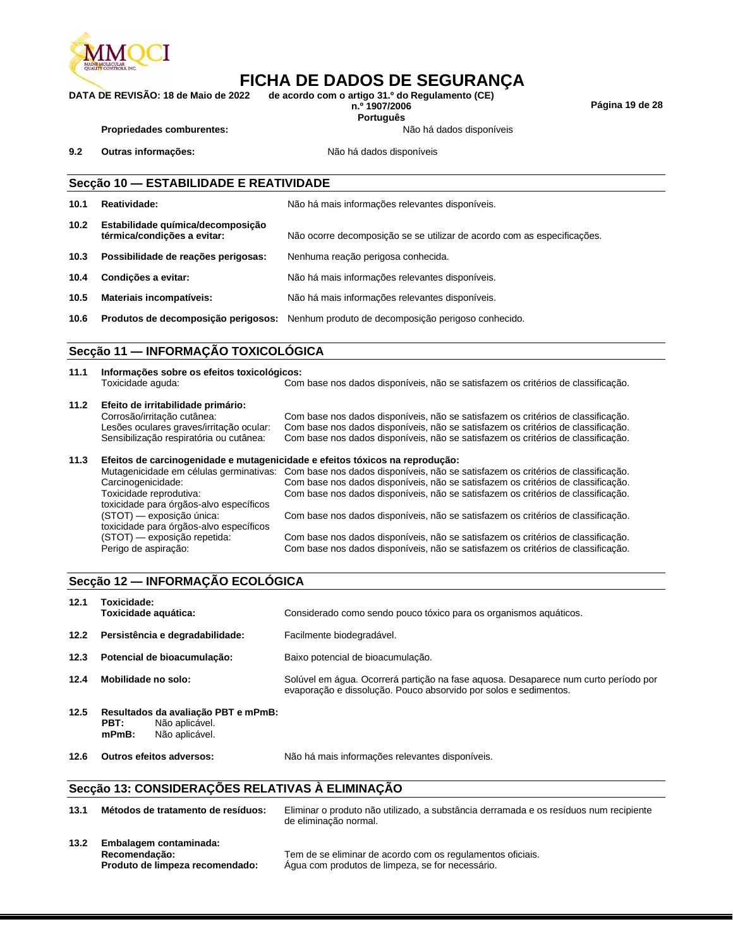

**DATA DE REVISÃO: 18 de Maio de 2022 de acordo com o artigo 31.º do Regulamento (CE)** 

**Português**

**n.º 1907/2006 Página 19 de 28**

Propriedades comburentes: **Não há dados** disponíveis

9.2 **Outras informações: Não há dados disponíveis** 

### **Secção 10 — ESTABILIDADE E REATIVIDADE 10.1 Reatividade:** Não há mais informações relevantes disponíveis. **10.2 Estabilidade química/decomposição térmica/condições a evitar:** Não ocorre decomposição se se utilizar de acordo com as especificações. **10.3 Possibilidade de reações perigosas:** Nenhuma reação perigosa conhecida. **10.4 Condições a evitar:** Não há mais informações relevantes disponíveis. **10.5 Materiais incompatíveis:** Não há mais informações relevantes disponíveis. **10.6 Produtos de decomposição perigosos:** Nenhum produto de decomposição perigoso conhecido.

#### **Secção 11 — INFORMAÇÃO TOXICOLÓGICA**

| 11.1 | Informações sobre os efeitos toxicológicos:<br>Toxicidade aguda:                                                                                         | Com base nos dados disponíveis, não se satisfazem os critérios de classificação.                                                                                                                                                                         |  |  |  |  |
|------|----------------------------------------------------------------------------------------------------------------------------------------------------------|----------------------------------------------------------------------------------------------------------------------------------------------------------------------------------------------------------------------------------------------------------|--|--|--|--|
| 11.2 | Efeito de irritabilidade primário:<br>Corrosão/irritação cutânea:<br>Lesões oculares graves/irritação ocular:<br>Sensibilização respiratória ou cutânea: | Com base nos dados disponíveis, não se satisfazem os critérios de classificação.<br>Com base nos dados disponíveis, não se satisfazem os critérios de classificação.<br>Com base nos dados disponíveis, não se satisfazem os critérios de classificação. |  |  |  |  |
| 11.3 | Efeitos de carcinogenidade e mutagenicidade e efeitos tóxicos na reprodução:                                                                             |                                                                                                                                                                                                                                                          |  |  |  |  |
|      |                                                                                                                                                          | Mutagenicidade em células germinativas: Com base nos dados disponíveis, não se satisfazem os critérios de classificação.                                                                                                                                 |  |  |  |  |
|      | Carcinogenicidade:                                                                                                                                       | Com base nos dados disponíveis, não se satisfazem os critérios de classificação.                                                                                                                                                                         |  |  |  |  |
|      | Toxicidade reprodutiva:<br>toxicidade para órgãos-alvo específicos                                                                                       | Com base nos dados disponíveis, não se satisfazem os critérios de classificação.                                                                                                                                                                         |  |  |  |  |
|      | (STOT) — exposição única:<br>toxicidade para órgãos-alvo específicos                                                                                     | Com base nos dados disponíveis, não se satisfazem os critérios de classificação.                                                                                                                                                                         |  |  |  |  |
|      | (STOT) — exposição repetida:<br>Perigo de aspiração:                                                                                                     | Com base nos dados disponíveis, não se satisfazem os critérios de classificação.<br>Com base nos dados disponíveis, não se satisfazem os critérios de classificação.                                                                                     |  |  |  |  |

#### **Secção 12 — INFORMAÇÃO ECOLÓGICA**

| 12.1 | Toxicidade:<br>Toxicidade aquática:                                                         | Considerado como sendo pouco tóxico para os organismos aquáticos.                                                                                       |
|------|---------------------------------------------------------------------------------------------|---------------------------------------------------------------------------------------------------------------------------------------------------------|
| 12.2 | Persistência e degradabilidade:                                                             | Facilmente biodegradável.                                                                                                                               |
| 12.3 | Potencial de bioacumulação:                                                                 | Baixo potencial de bioacumulação.                                                                                                                       |
| 12.4 | Mobilidade no solo:                                                                         | Solúvel em água. Ocorrerá partição na fase aguosa. Desaparece num curto período por<br>evaporação e dissolução. Pouco absorvido por solos e sedimentos. |
| 12.5 | Resultados da avaliação PBT e mPmB:<br>PBT:<br>Não aplicável.<br>Não aplicável.<br>$mPmB$ : |                                                                                                                                                         |
| 12.6 | Outros efeitos adversos:                                                                    | Não há mais informações relevantes disponíveis.                                                                                                         |
|      |                                                                                             |                                                                                                                                                         |

#### **Secção 13: CONSIDERAÇÕES RELATIVAS À ELIMINAÇÃO**

| 13.1 | Métodos de tratamento de resíduos:                                         | Eliminar o produto não utilizado, a substância derramada e os resíduos num recipiente<br>de eliminação normal. |
|------|----------------------------------------------------------------------------|----------------------------------------------------------------------------------------------------------------|
| 13.2 | Embalagem contaminada:<br>Recomendação:<br>Produto de limpeza recomendado: | Tem de se eliminar de acordo com os regulamentos oficiais.<br>Aqua com produtos de limpeza, se for necessário. |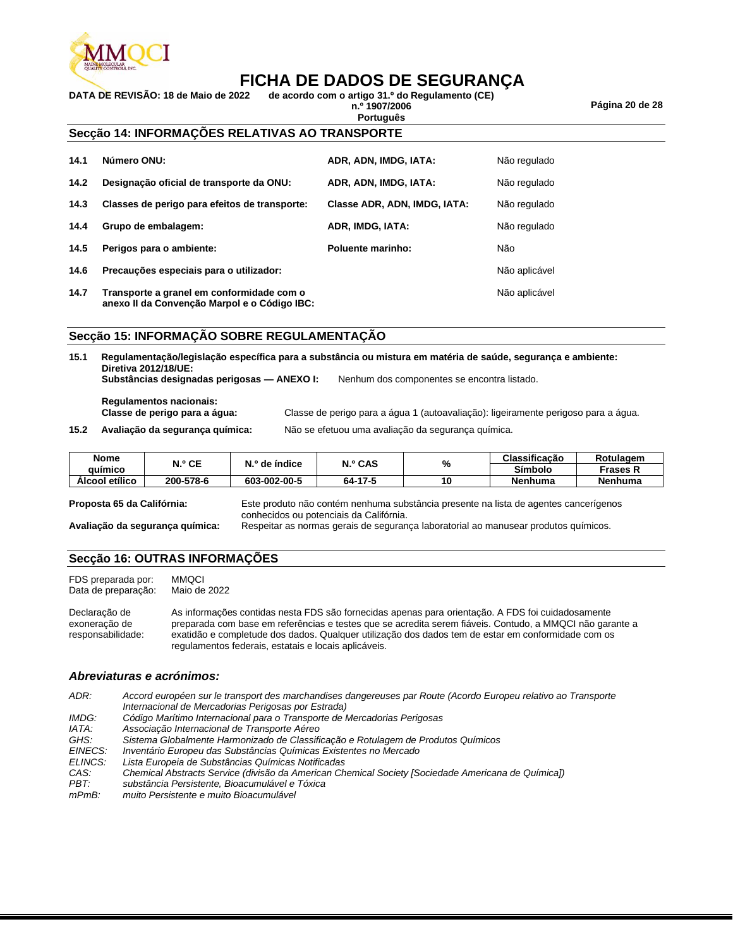

**DATA DE REVISÃO: 18 de Maio de 2022 de acordo com o artigo 31.º do Regulamento (CE)** 

**Português**

**n.º 1907/2006 Página 20 de 28**

#### **Secção 14: INFORMAÇÕES RELATIVAS AO TRANSPORTE**

| 14.1 | Número ONU:                                                                               | ADR, ADN, IMDG, IATA:        | Não regulado  |
|------|-------------------------------------------------------------------------------------------|------------------------------|---------------|
| 14.2 | Designação oficial de transporte da ONU:                                                  | ADR, ADN, IMDG, IATA:        | Não regulado  |
| 14.3 | Classes de perigo para efeitos de transporte:                                             | Classe ADR, ADN, IMDG, IATA: | Não regulado  |
| 14.4 | Grupo de embalagem:                                                                       | ADR, IMDG, IATA:             | Não regulado  |
| 14.5 | Perigos para o ambiente:                                                                  | <b>Poluente marinho:</b>     | Não           |
| 14.6 | Precauções especiais para o utilizador:                                                   |                              | Não aplicável |
| 14.7 | Transporte a granel em conformidade com o<br>anexo II da Convenção Marpol e o Código IBC: |                              | Não aplicável |

#### **Secção 15: INFORMAÇÃO SOBRE REGULAMENTAÇÃO**

| 15.1 | Diretiva 2012/18/UE:                                     |                                                    | Regulamentação/legislação específica para a substância ou mistura em matéria de saúde, segurança e ambiente: |  |
|------|----------------------------------------------------------|----------------------------------------------------|--------------------------------------------------------------------------------------------------------------|--|
|      | Substâncias designadas perigosas — ANEXO I:              |                                                    | Nenhum dos componentes se encontra listado.                                                                  |  |
|      | Regulamentos nacionais:<br>Classe de perigo para a água: |                                                    | Classe de perigo para a água 1 (autoavaliação): ligeiramente perigoso para a água.                           |  |
| 15.2 | Avaliação da segurança guímica:                          | Não se efetuou uma avaliação da segurança guímica. |                                                                                                              |  |

| <b>Nome</b>               | N.º CE    | N.º de índice | N.º CAS | %  | Classificação                                                                        | Rotulagem       |
|---------------------------|-----------|---------------|---------|----|--------------------------------------------------------------------------------------|-----------------|
| auímico                   |           |               |         |    | Símbolo                                                                              | <b>Frases R</b> |
| Alcool etílico            | 200-578-6 | 603-002-00-5  | 64-17-5 | 10 | <b>Nenhuma</b>                                                                       | <b>Nenhuma</b>  |
| Dronaeta 65 da Califórnia |           |               |         |    | Este produto pão contóm nonhuma substância prosente na lista de agentes cancerígones |                 |

**Proposta 65 da Califórnia:** Este produto não contém nenhuma substância presente na lista de agentes cancerígenos conhecidos ou potenciais da Califórnia.

**Avaliação da segurança química:** Respeitar as normas gerais de segurança laboratorial ao manusear produtos químicos.

#### **Secção 16: OUTRAS INFORMAÇÕES**

FDS preparada por: MMQCI<br>Data de preparação: Maio de 2022 Data de preparação:

Declaração de exoneração de responsabilidade: As informações contidas nesta FDS são fornecidas apenas para orientação. A FDS foi cuidadosamente preparada com base em referências e testes que se acredita serem fiáveis. Contudo, a MMQCI não garante a exatidão e completude dos dados. Qualquer utilização dos dados tem de estar em conformidade com os regulamentos federais, estatais e locais aplicáveis.

#### *Abreviaturas e acrónimos:*

*ADR: Accord européen sur le transport des marchandises dangereuses par Route (Acordo Europeu relativo ao Transporte Internacional de Mercadorias Perigosas por Estrada) IMDG: Código Marítimo Internacional para o Transporte de Mercadorias Perigosas IATA: Associação Internacional de Transporte Aéreo GHS: Sistema Globalmente Harmonizado de Classificação e Rotulagem de Produtos Químicos EINECS: Inventário Europeu das Substâncias Químicas Existentes no Mercado ELINCS: Lista Europeia de Substâncias Químicas Notificadas CAS: Chemical Abstracts Service (divisão da American Chemical Society [Sociedade Americana de Química]) PBT: substância Persistente, Bioacumulável e Tóxica muito Persistente e muito Bioacumulável*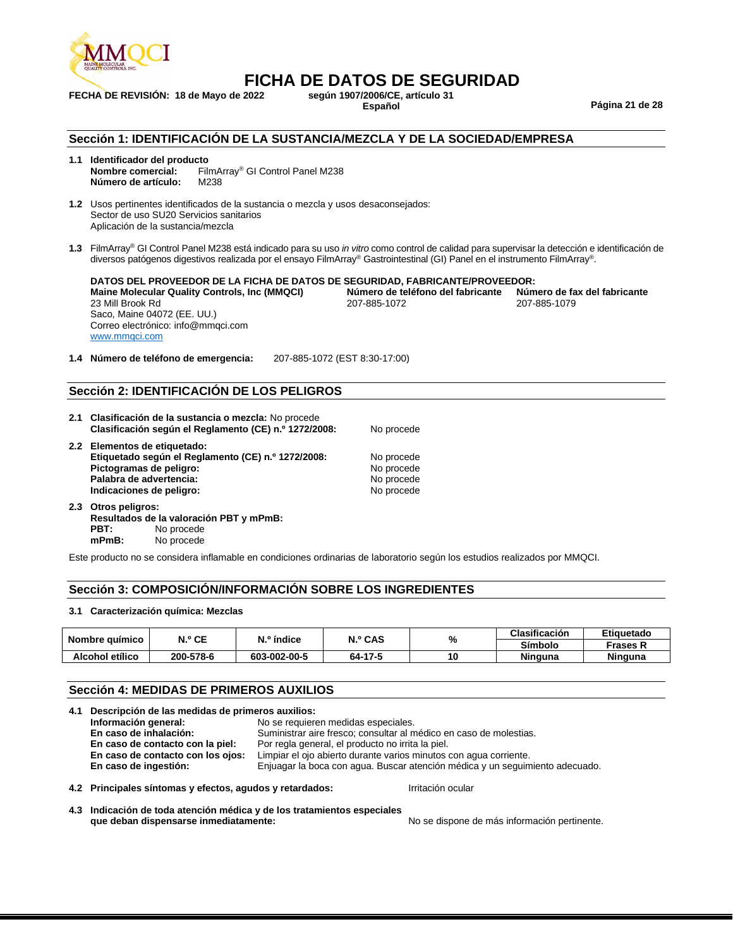

# **FICHA DE DATOS DE SEGURIDAD**<br>2022 según 1907/2006/CE, artículo 31

**FECHA DE REVISIÓN: 18 de Mayo de 2022 según 1907/2006/CE, artículo 31**

**Español Página 21 de 28**

#### **Sección 1: IDENTIFICACIÓN DE LA SUSTANCIA/MEZCLA Y DE LA SOCIEDAD/EMPRESA**

- **1.1 Identificador del producto** FilmArray<sup>®</sup> GI Control Panel M238 **Número de artículo:** M238
- **1.2** Usos pertinentes identificados de la sustancia o mezcla y usos desaconsejados: Sector de uso SU20 Servicios sanitarios Aplicación de la sustancia/mezcla
- **1.3** FilmArray® GI Control Panel M238 está indicado para su uso *in vitro* como control de calidad para supervisar la detección e identificación de diversos patógenos digestivos realizada por el ensayo FilmArray® Gastrointestinal (GI) Panel en el instrumento FilmArray® .

| DATOS DEL PROVEEDOR DE LA FICHA DE DATOS DE SEGURIDAD. FABRICANTE/PROVEEDOR: |                                   |                              |
|------------------------------------------------------------------------------|-----------------------------------|------------------------------|
| Maine Molecular Quality Controls, Inc (MMQCI)                                | Número de teléfono del fabricante | Número de fax del fabricante |
| 23 Mill Brook Rd                                                             | 207-885-1072                      | 207-885-1079                 |
| Saco, Maine 04072 (EE. UU.)                                                  |                                   |                              |
| Correo electrónico: info@mmgci.com                                           |                                   |                              |
| www.mmgci.com                                                                |                                   |                              |

**1.4 Número de teléfono de emergencia:** 207-885-1072 (EST 8:30-17:00)

#### **Sección 2: IDENTIFICACIÓN DE LOS PELIGROS**

- **2.1 Clasificación de la sustancia o mezcla:** No procede **Clasificación según el Reglamento (CE) n.º 1272/2008:** No procede **2.2 Elementos de etiquetado:**
- **Etiquetado según el Reglamento (CE) n.º 1272/2008:** No procede<br>**Pictogramas de peligro:** No procede Pictogramas de peligro: Palabra de advertencia: No procede **Indicaciones de peligro:** No procede
- **2.3 Otros peligros: Resultados de la valoración PBT y mPmB: PBT:** No procede<br> **mPmB:** No procede No procede

Este producto no se considera inflamable en condiciones ordinarias de laboratorio según los estudios realizados por MMQCI.

#### **Sección 3: COMPOSICIÓN/INFORMACIÓN SOBRE LOS INGREDIENTES**

#### **3.1 Caracterización química: Mezclas**

| Nombre químico  | N.º CE    | $No$ índice  | N.º CAS | %  | Clasificación  | Etiquetado     |
|-----------------|-----------|--------------|---------|----|----------------|----------------|
|                 |           |              |         |    | Símbolo        | Frases R       |
| Alcohol etílico | 200-578-6 | 603-002-00-5 | 64-17-5 | 10 | <b>Ninguna</b> | <b>Ninguna</b> |

#### **Sección 4: MEDIDAS DE PRIMEROS AUXILIOS**

| 4.1 Descripción de las medidas de primeros auxilios: |                                                                              |  |
|------------------------------------------------------|------------------------------------------------------------------------------|--|
| Información general:                                 | No se requieren medidas especiales.                                          |  |
| En caso de inhalación:                               | Suministrar aire fresco; consultar al médico en caso de molestias.           |  |
| En caso de contacto con la piel:                     | Por regla general, el producto no irrita la piel.                            |  |
| En caso de contacto con los ojos:                    | Limpiar el ojo abierto durante varios minutos con aqua corriente.            |  |
| En caso de ingestión:                                | Enjuagar la boca con agua. Buscar atención médica y un seguimiento adecuado. |  |
|                                                      |                                                                              |  |

**4.2 Principales síntomas y efectos, agudos y retardados:** Irritación ocular

**4.3 Indicación de toda atención médica y de los tratamientos especiales** 

No se dispone de más información pertinente.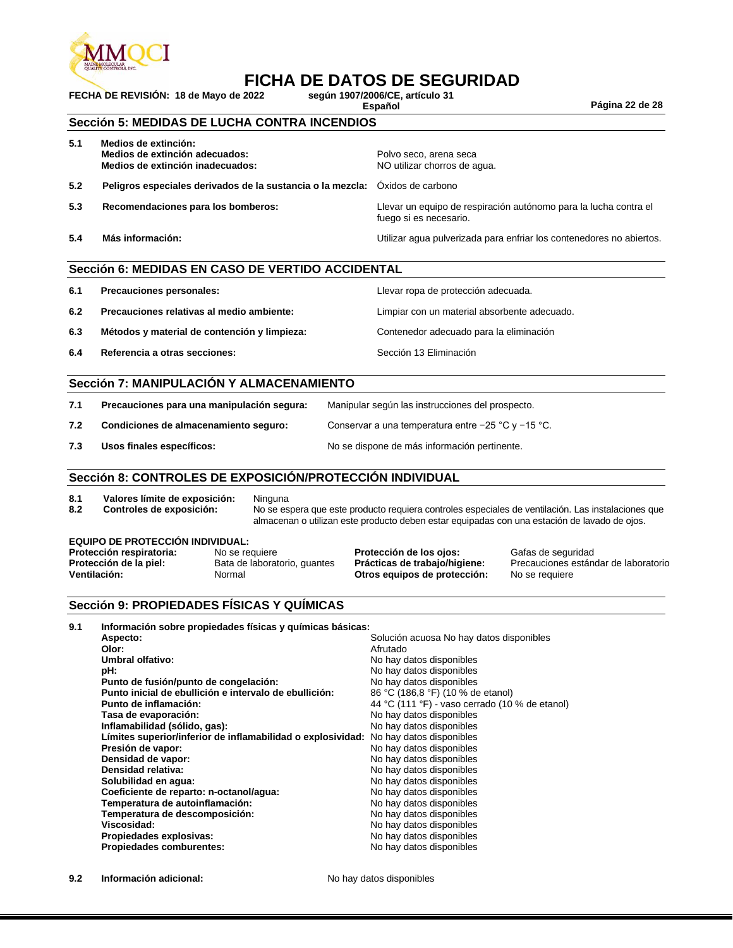

# **FICHA DE DATOS DE SEGURIDAD**<br>2022 según 1907/2006/CE, artículo 31

**FECHA DE REVISIÓN: 18 de Mayo de 2022 según 1907/2006/CE, artículo 31**

**Español Página 22 de 28**

#### **Sección 5: MEDIDAS DE LUCHA CONTRA INCENDIOS**

| 5.1 | Medios de extinción:<br>Medios de extinción adecuados:<br>Medios de extinción inadecuados: | Polvo seco, arena seca<br>NO utilizar chorros de aqua.                                     |
|-----|--------------------------------------------------------------------------------------------|--------------------------------------------------------------------------------------------|
| 5.2 | Peligros especiales derivados de la sustancia o la mezcla: Óxidos de carbono               |                                                                                            |
| 5.3 | Recomendaciones para los bomberos:                                                         | Llevar un equipo de respiración autónomo para la lucha contra el<br>fuego si es necesario. |
| 5.4 | Más información:                                                                           | Utilizar agua pulverizada para enfriar los contenedores no abiertos.                       |

#### **Sección 6: MEDIDAS EN CASO DE VERTIDO ACCIDENTAL**

| 6.1 | Precauciones personales:                     | Llevar ropa de protección adecuada.          |
|-----|----------------------------------------------|----------------------------------------------|
| 6.2 | Precauciones relativas al medio ambiente:    | Limpiar con un material absorbente adecuado. |
| 6.3 | Métodos y material de contención y limpieza: | Contenedor adecuado para la eliminación      |
| 6.4 | Referencia a otras secciones:                | Sección 13 Eliminación                       |

#### **Sección 7: MANIPULACIÓN Y ALMACENAMIENTO**

| 7.1 | Precauciones para una manipulación segura: | Manipular según las instrucciones del prospecto.       |
|-----|--------------------------------------------|--------------------------------------------------------|
| 7.2 | Condiciones de almacenamiento seguro:      | Conservar a una temperatura entre $-25$ °C y $-15$ °C. |
| 7.3 | Usos finales específicos:                  | No se dispone de más información pertinente.           |

#### **Sección 8: CONTROLES DE EXPOSICIÓN/PROTECCIÓN INDIVIDUAL**

- **8.1 Valores límite de exposición:** Ninguna
- 

**8.2 Controles de exposición:** No se espera que este producto requiera controles especiales de ventilación. Las instalaciones que almacenan o utilizan este producto deben estar equipadas con una estación de lavado de ojos.

#### **EQUIPO DE PROTECCIÓN INDIVIDUAL:**

| Protección respiratoria: | No se requiere               | Protección de los ojos:       | Gafas de seguridad                   |
|--------------------------|------------------------------|-------------------------------|--------------------------------------|
| Protección de la piel:   | Bata de laboratorio, guantes | Prácticas de trabajo/higiene: | Precauciones estándar de laboratorio |
| Ventilación:             | Normal                       | Otros equipos de protección:  | No se requiere                       |

#### **Sección 9: PROPIEDADES FÍSICAS Y QUÍMICAS**

| 9.1 | Información sobre propiedades físicas y químicas básicas:                            |                                                |
|-----|--------------------------------------------------------------------------------------|------------------------------------------------|
|     | Aspecto:                                                                             | Solución acuosa No hay datos disponibles       |
|     | Olor:                                                                                | Afrutado                                       |
|     | Umbral olfativo:                                                                     | No hay datos disponibles                       |
|     | pH:                                                                                  | No hay datos disponibles                       |
|     | Punto de fusión/punto de congelación:                                                | No hay datos disponibles                       |
|     | Punto inicial de ebullición e intervalo de ebullición:                               | 86 °C (186,8 °F) (10 % de etanol)              |
|     | Punto de inflamación:                                                                | 44 °C (111 °F) - vaso cerrado (10 % de etanol) |
|     | Tasa de evaporación:                                                                 | No hay datos disponibles                       |
|     | Inflamabilidad (sólido, gas):                                                        | No hay datos disponibles                       |
|     | Límites superior/inferior de inflamabilidad o explosividad: No hay datos disponibles |                                                |
|     | Presión de vapor:                                                                    | No hay datos disponibles                       |
|     | Densidad de vapor:                                                                   | No hay datos disponibles                       |
|     | Densidad relativa:                                                                   | No hay datos disponibles                       |
|     | Solubilidad en agua:                                                                 | No hay datos disponibles                       |
|     | Coeficiente de reparto: n-octanol/agua:                                              | No hay datos disponibles                       |
|     | Temperatura de autoinflamación:                                                      | No hay datos disponibles                       |
|     | Temperatura de descomposición:                                                       | No hay datos disponibles                       |
|     | Viscosidad:                                                                          | No hay datos disponibles                       |
|     | Propiedades explosivas:                                                              | No hay datos disponibles                       |
|     | <b>Propiedades comburentes:</b>                                                      | No hay datos disponibles                       |
|     |                                                                                      |                                                |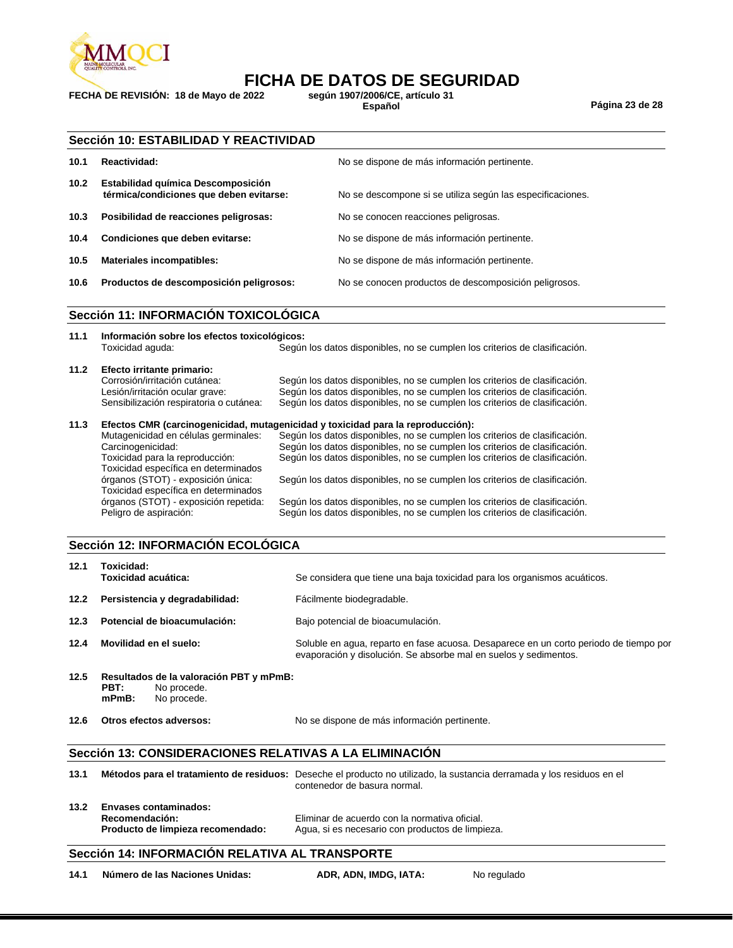

# **FICHA DE DATOS DE SEGURIDAD**<br>2022 según 1907/2006/CE, artículo 31

**FECHA DE REVISIÓN: 18 de Mayo de 2022 según 1907/2006/CE, artículo 31**

**Español Página 23 de 28**

|                   | Sección 10: ESTABILIDAD Y REACTIVIDAD                                         |                                                            |  |
|-------------------|-------------------------------------------------------------------------------|------------------------------------------------------------|--|
| 10.1              | Reactividad:                                                                  | No se dispone de más información pertinente.               |  |
| 10.2 <sub>1</sub> | Estabilidad química Descomposición<br>térmica/condiciones que deben evitarse: | No se descompone si se utiliza según las especificaciones. |  |
| 10.3              | Posibilidad de reacciones peligrosas:                                         | No se conocen reacciones peligrosas.                       |  |
| 10.4              | Condiciones que deben evitarse:                                               | No se dispone de más información pertinente.               |  |
| 10.5              | <b>Materiales incompatibles:</b>                                              | No se dispone de más información pertinente.               |  |
| 10.6              | Productos de descomposición peligrosos:                                       | No se conocen productos de descomposición peligrosos.      |  |
|                   |                                                                               |                                                            |  |

#### **Sección 11: INFORMACIÓN TOXICOLÓGICA**

| 11.1 | Información sobre los efectos toxicológicos:<br>Toxicidad aguda:                                                                          | Según los datos disponibles, no se cumplen los criterios de clasificación.                                                                                                                                                             |
|------|-------------------------------------------------------------------------------------------------------------------------------------------|----------------------------------------------------------------------------------------------------------------------------------------------------------------------------------------------------------------------------------------|
| 11.2 | Efecto irritante primario:<br>Corrosión/irritación cutánea:<br>Lesión/irritación ocular grave:<br>Sensibilización respiratoria o cutánea: | Según los datos disponibles, no se cumplen los criterios de clasificación.<br>Según los datos disponibles, no se cumplen los criterios de clasificación.<br>Según los datos disponibles, no se cumplen los criterios de clasificación. |
| 11.3 |                                                                                                                                           | Efectos CMR (carcinogenicidad, mutagenicidad y toxicidad para la reproducción):                                                                                                                                                        |
|      | Mutagenicidad en células germinales:                                                                                                      | Según los datos disponibles, no se cumplen los criterios de clasificación.                                                                                                                                                             |
|      | Carcinogenicidad:                                                                                                                         | Según los datos disponibles, no se cumplen los criterios de clasificación.                                                                                                                                                             |
|      | Toxicidad para la reproducción:                                                                                                           | Según los datos disponibles, no se cumplen los criterios de clasificación.                                                                                                                                                             |
|      | Toxicidad específica en determinados                                                                                                      |                                                                                                                                                                                                                                        |
|      | órganos (STOT) - exposición única:                                                                                                        | Según los datos disponibles, no se cumplen los criterios de clasificación.                                                                                                                                                             |
|      | Toxicidad específica en determinados                                                                                                      |                                                                                                                                                                                                                                        |
|      | órganos (STOT) - exposición repetida:                                                                                                     | Según los datos disponibles, no se cumplen los criterios de clasificación.                                                                                                                                                             |
|      | Peligro de aspiración:                                                                                                                    | Según los datos disponibles, no se cumplen los criterios de clasificación.                                                                                                                                                             |

#### **Sección 12: INFORMACIÓN ECOLÓGICA**

| 12.1 | Toxicidad:<br><b>Toxicidad acuática:</b>                                                  | Se considera que tiene una baja toxicidad para los organismos acuáticos.                                                                                  |
|------|-------------------------------------------------------------------------------------------|-----------------------------------------------------------------------------------------------------------------------------------------------------------|
| 12.2 | Persistencia y degradabilidad:                                                            | Fácilmente biodegradable.                                                                                                                                 |
| 12.3 | Potencial de bioacumulación:                                                              | Bajo potencial de bioacumulación.                                                                                                                         |
| 12.4 | Movilidad en el suelo:                                                                    | Soluble en agua, reparto en fase acuosa. Desaparece en un corto periodo de tiempo por<br>evaporación y disolución. Se absorbe mal en suelos y sedimentos. |
| 12.5 | Resultados de la valoración PBT y mPmB:<br>PBT:<br>No procede.<br>$mPmB$ :<br>No procede. |                                                                                                                                                           |
| 12.6 | Otros efectos adversos:                                                                   | No se dispone de más información pertinente.                                                                                                              |

#### **Sección 13: CONSIDERACIONES RELATIVAS A LA ELIMINACIÓN**

| 13.1 |                            | Métodos para el tratamiento de residuos: Deseche el producto no utilizado, la sustancia derramada y los residuos en el<br>contenedor de basura normal. |
|------|----------------------------|--------------------------------------------------------------------------------------------------------------------------------------------------------|
|      | 13.2 Envasos contaminados: |                                                                                                                                                        |

**13.2 Envases contaminados: Recomendación:** Eliminar de acuerdo con la normativa oficial.

Agua, si es necesario con productos de limpieza.

#### **Sección 14: INFORMACIÓN RELATIVA AL TRANSPORTE**

**14.1 Número de las Naciones Unidas: ADR, ADN, IMDG, IATA:** No regulado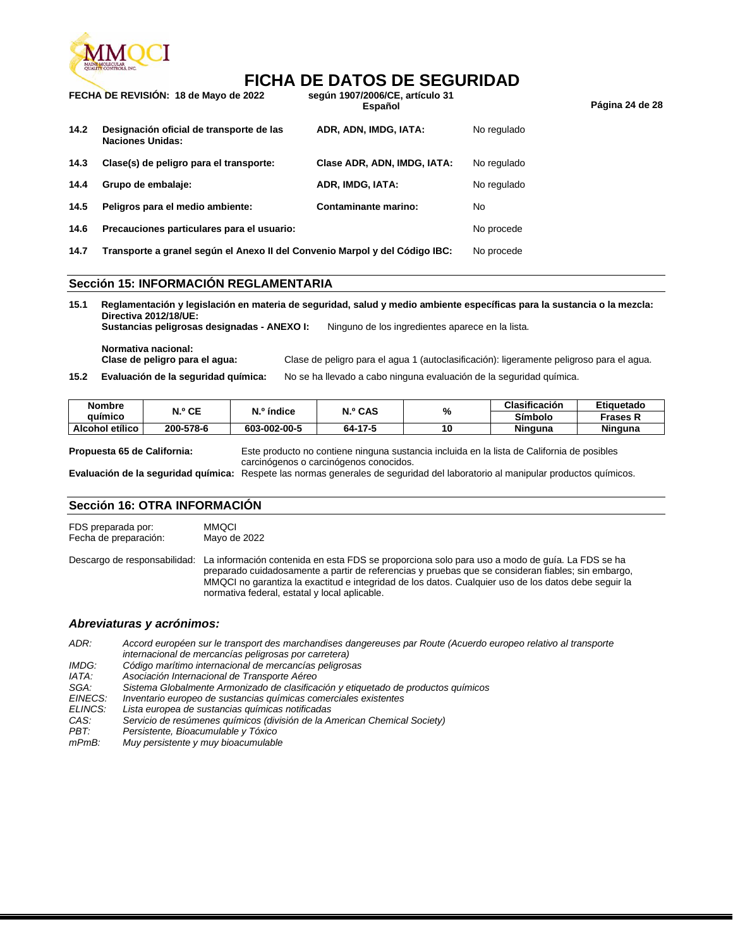

### **FICHA DE DATOS DE SEGURIDAD**

|      | FECHA DE REVISION: 18 de Mayo de 2022                                       | según 1907/2006/CE, artículo 31<br>Español |             | Página 24 de 28 |
|------|-----------------------------------------------------------------------------|--------------------------------------------|-------------|-----------------|
| 14.2 | Designación oficial de transporte de las<br><b>Naciones Unidas:</b>         | ADR, ADN, IMDG, IATA:                      | No regulado |                 |
| 14.3 | Clase(s) de peligro para el transporte:                                     | Clase ADR, ADN, IMDG, IATA:                | No regulado |                 |
| 14.4 | Grupo de embalaje:                                                          | ADR, IMDG, IATA:                           | No regulado |                 |
| 14.5 | Peligros para el medio ambiente:                                            | Contaminante marino:                       | No          |                 |
| 14.6 | Precauciones particulares para el usuario:                                  |                                            | No procede  |                 |
| 14.7 | Transporte a granel según el Anexo II del Convenio Marpol y del Código IBC: |                                            | No procede  |                 |

#### **Sección 15: INFORMACIÓN REGLAMENTARIA**

**15.1 Reglamentación y legislación en materia de seguridad, salud y medio ambiente específicas para la sustancia o la mezcla: Directiva 2012/18/UE: Sustancias peligrosas designadas - ANEXO I:** Ninguno de los ingredientes aparece en la lista.

**Normativa nacional:**

**Clase de peligro para el agua:** Clase de peligro para el agua 1 (autoclasificación): ligeramente peligroso para el agua.

**15.2 Evaluación de la seguridad química:** No se ha llevado a cabo ninguna evaluación de la seguridad química.

| Nombre          | N.º CE    | N.º índice   | N.º CAS | %  | Clasificación  | Etiquetado |
|-----------------|-----------|--------------|---------|----|----------------|------------|
| auimico         |           |              |         |    | Símbolo        | Frases R   |
| Alcohol etílico | 200-578-6 | 603-002-00-5 | 64-17-5 | 10 | <b>Ninguna</b> | Ninguna    |

**Propuesta 65 de California:** Este producto no contiene ninguna sustancia incluida en la lista de California de posibles carcinógenos o carcinógenos conocidos.

**Evaluación de la seguridad química:** Respete las normas generales de seguridad del laboratorio al manipular productos químicos.

#### **Sección 16: OTRA INFORMACIÓN**

FDS preparada por: MMQCI Fecha de preparación: Mayo de 2022

Descargo de responsabilidad: La información contenida en esta FDS se proporciona solo para uso a modo de guía. La FDS se ha preparado cuidadosamente a partir de referencias y pruebas que se consideran fiables; sin embargo, MMQCI no garantiza la exactitud e integridad de los datos. Cualquier uso de los datos debe seguir la normativa federal, estatal y local aplicable.

#### *Abreviaturas y acrónimos:*

*ADR: Accord européen sur le transport des marchandises dangereuses par Route (Acuerdo europeo relativo al transporte internacional de mercancías peligrosas por carretera)*

- *IMDG: Código marítimo internacional de mercancías peligrosas*
- *IATA: Asociación Internacional de Transporte Aéreo*
- *SGA: Sistema Globalmente Armonizado de clasificación y etiquetado de productos químicos*
- *EINECS: Inventario europeo de sustancias químicas comerciales existentes*
- *ELINCS: Lista europea de sustancias químicas notificadas*
- *CAS: Servicio de resúmenes químicos (división de la American Chemical Society)*
- *PBT: Persistente, Bioacumulable y Tóxico*
- *mPmB: Muy persistente y muy bioacumulable*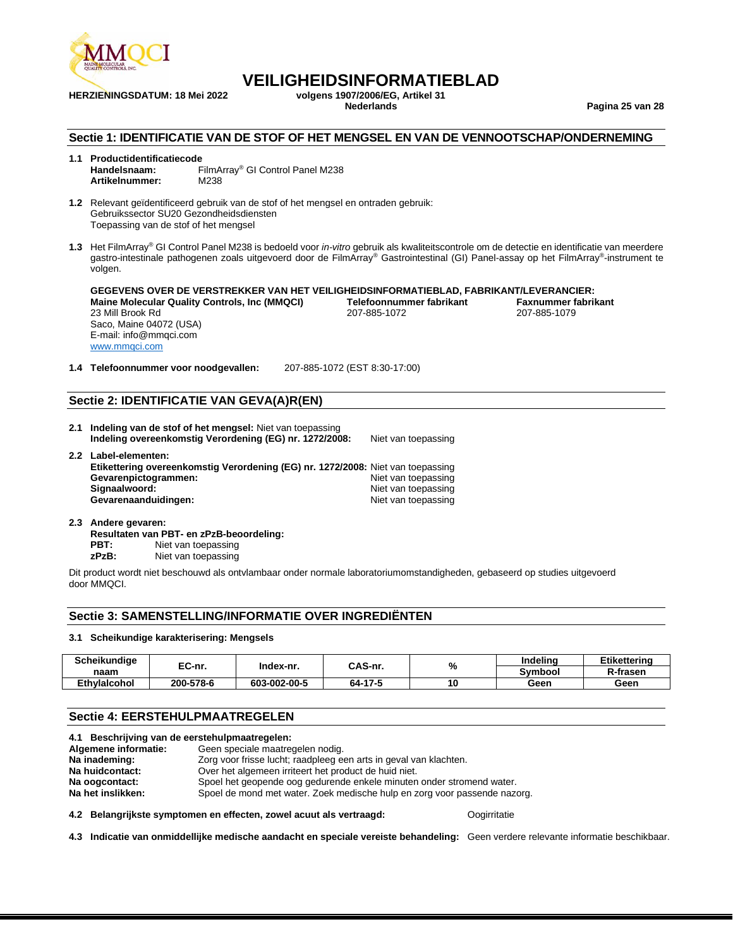

**HERZIENINGSDATUM: 18 Mei 2022 volgens 1907/2006/EG, Artikel 31**

## **VEILIGHEIDSINFORMATIEBLAD**<br>volgens 1907/2006/EG. Artikel 31

**Nederlands Pagina 25 van 28**

#### **Sectie 1: IDENTIFICATIE VAN DE STOF OF HET MENGSEL EN VAN DE VENNOOTSCHAP/ONDERNEMING**

**1.1 Productidentificatiecode Handelsnaam:** FilmArray® GI Control Panel M238 Artikelnummer:

**1.2** Relevant geïdentificeerd gebruik van de stof of het mengsel en ontraden gebruik: Gebruikssector SU20 Gezondheidsdiensten Toepassing van de stof of het mengsel

**1.3** Het FilmArray® GI Control Panel M238 is bedoeld voor *in-vitro* gebruik als kwaliteitscontrole om de detectie en identificatie van meerdere gastro-intestinale pathogenen zoals uitgevoerd door de FilmArray® Gastrointestinal (GI) Panel-assay op het FilmArray® -instrument te volgen.

**GEGEVENS OVER DE VERSTREKKER VAN HET VEILIGHEIDSINFORMATIEBLAD, FABRIKANT/LEVERANCIER: Maine Molecular Quality Controls, Inc (MMQCI)** 23 Mill Brook Rd Saco, Maine 04072 (USA) E-mail: info@mmqci.com [www.mmqci.com](http://www.mmqci.com/) 207-885-1072 207-885-1079

**1.4 Telefoonnummer voor noodgevallen:** 207-885-1072 (EST 8:30-17:00)

#### **Sectie 2: IDENTIFICATIE VAN GEVA(A)R(EN)**

**2.1 Indeling van de stof of het mengsel:** Niet van toepassing **Indeling overeenkomstig Verordening (EG) nr. 1272/2008:** Niet van toepassing **2.2 Label-elementen:**

| Etikettering overeenkomstig Verordening (EG) nr. 1272/2008: Niet van toepassing |                     |
|---------------------------------------------------------------------------------|---------------------|
| Gevarenpictogrammen:                                                            | Niet van toepassing |
| Signaalwoord:                                                                   | Niet van toepassing |
| Gevarenaanduidingen:                                                            | Niet van toepassing |
|                                                                                 |                     |

**2.3 Andere gevaren: Resultaten van PBT- en zPzB-beoordeling:** Niet van toepassing **zPzB:** Niet van toepassing

Dit product wordt niet beschouwd als ontvlambaar onder normale laboratoriumomstandigheden, gebaseerd op studies uitgevoerd door MMQCI.

#### **Sectie 3: SAMENSTELLING/INFORMATIE OVER INGREDIËNTEN**

#### **3.1 Scheikundige karakterisering: Mengsels**

| Scheikundige        | co.       | CAS-nr.<br>Index-nr. |         | %  | Indelina | <b>Etikettering</b> |
|---------------------|-----------|----------------------|---------|----|----------|---------------------|
| naam                | EC-nr.    |                      |         |    | Symbool  | R-frasen            |
| <b>Ethvlalcohol</b> | 200-578-6 | 603-002-00-5         | 64-17-5 | 10 | Geen     | Geen                |

#### **Sectie 4: EERSTEHULPMAATREGELEN**

| 4.1 Beschrijving van de eerstehulpmaatregelen: |                                                                           |  |  |  |  |  |
|------------------------------------------------|---------------------------------------------------------------------------|--|--|--|--|--|
| Algemene informatie:                           | Geen speciale maatregelen nodig.                                          |  |  |  |  |  |
| Na inademing:                                  | Zorg voor frisse lucht; raadpleeg een arts in geval van klachten.         |  |  |  |  |  |
| Na huidcontact:                                | Over het algemeen irriteert het product de huid niet.                     |  |  |  |  |  |
| Na oogcontact:                                 | Spoel het geopende oog gedurende enkele minuten onder stromend water.     |  |  |  |  |  |
| Na het inslikken:                              | Spoel de mond met water. Zoek medische hulp en zorg voor passende nazorg. |  |  |  |  |  |
|                                                |                                                                           |  |  |  |  |  |

**4.2 Belangrijkste symptomen en effecten, zowel acuut als vertraagd:** Oogirritatie

**4.3 Indicatie van onmiddellijke medische aandacht en speciale vereiste behandeling:** Geen verdere relevante informatie beschikbaar.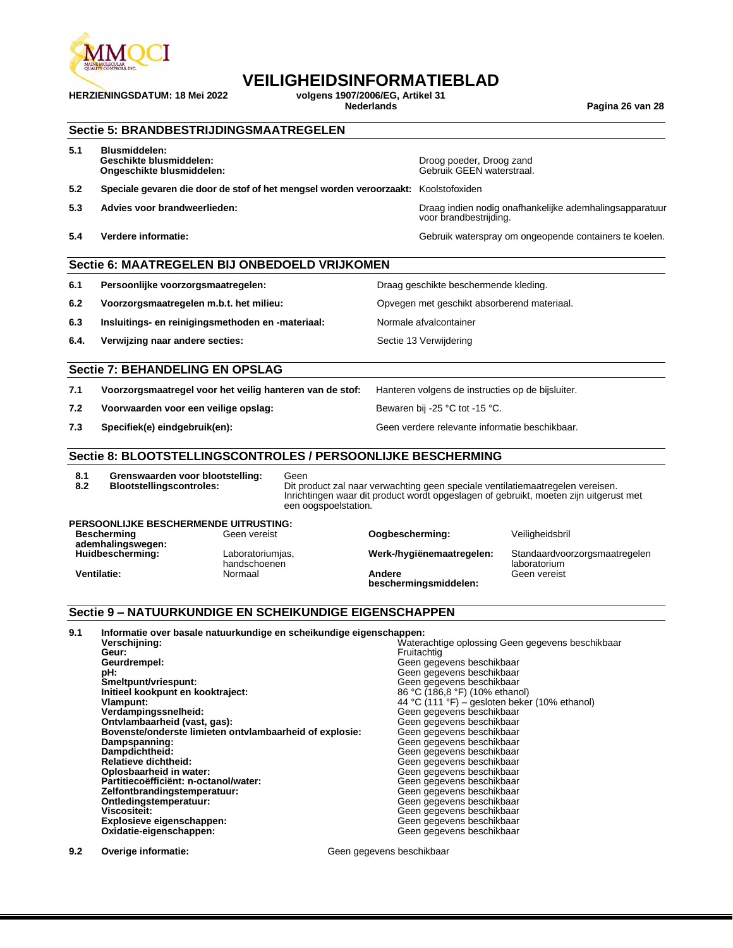

## **VEILIGHEIDSINFORMATIEBLAD**<br>volgens 1907/2006/EG. Artikel 31

**HERZIENINGSDATUM: 18 Mei 2022 volgens 1907/2006/EG, Artikel 31**

**Nederlands Pagina 26 van 28**

#### **Sectie 5: BRANDBESTRIJDINGSMAATREGELEN**

| 5.1 | <b>Blusmiddelen:</b>      |  |  |  |
|-----|---------------------------|--|--|--|
|     | <b>Geschikte blusmidd</b> |  |  |  |

- **Ongeschikte blusmiddelen:**
- **5.2 Speciale gevaren die door de stof of het mengsel worden veroorzaakt:** Koolstofoxiden
- 
- 

**Geschikte blusmiddelen:** Droog poeder, Droog zand

**5.3 Advies voor brandweerlieden:** Draag indien nodig onafhankelijke ademhalingsapparatuur voor brandbestrijding.

**5.4 Verdere informatie:** Gebruik waterspray om ongeopende containers te koelen.

#### **Sectie 6: MAATREGELEN BIJ ONBEDOELD VRIJKOMEN**

- **6.1 Persoonlijke voorzorgsmaatregelen:** Draag geschikte beschermende kleding. **6.2 Voorzorgsmaatregelen m.b.t. het milieu:** Opvegen met geschikt absorberend materiaal. **6.3 Insluitings- en reinigingsmethoden en -materiaal:** Normale afvalcontainer
- **6.4. Verwijzing naar andere secties:** Sectie 13 Verwijdering

#### **Sectie 7: BEHANDELING EN OPSLAG**

**7.1 Voorzorgsmaatregel voor het veilig hanteren van de stof:** Hanteren volgens de instructies op de bijsluiter.

- **7.2 Voorwaarden voor een veilige opslag:** Bewaren bij -25 °C tot -15 °C.
- 

**7.3 Specifiek(e) eindgebruik(en):** Geen verdere relevante informatie beschikbaar.

#### **Sectie 8: BLOOTSTELLINGSCONTROLES / PERSOONLIJKE BESCHERMING**

**8.1 Grenswaarden voor blootstelling:** Geen

**Dit product zal naar verwachting geen speciale ventilatiemaatregelen vereisen.** Inrichtingen waar dit product wordt opgeslagen of gebruikt, moeten zijn uitgerust met een oogspoelstation.

#### **PERSOONLIJKE BESCHERMENDE UITRUSTING: Bescherming ademhalingswegen:**

**Huidbescherming:** Laboratoriumjas,

handschoenen **Ventilatie:** Normaal **Andere** 

**Oogbescherming: Veiligheidsbril beschermingsmiddelen:**

**Werk-/hygiënemaatregelen:** Standaardvoorzorgsmaatregelen laboratorium

Geen vereist

#### **Sectie 9 – NATUURKUNDIGE EN SCHEIKUNDIGE EIGENSCHAPPEN**

#### **9.1 Informatie over basale natuurkundige en scheikundige eigenschappen:** Waterachtige oplossing Geen gegevens beschikbaar **Geur:** Fruitachtig<br> **Geurdrempel:** Communication Communication Communication Communication Communication Communication Communication Geurdrempel:<br> **Geen gegevens beschikbaar**<br>
Smeltpunt/vriespunt:<br>
Smeltpunt/vriespunt:<br>
Geen gegevens beschikbaar

**Smeltpunt/vriespunt:** Geen gegevens beschikbaar **Initieel kookpunt en kooktraject:**<br>Vlampunt: **Vlampunt:**  $\begin{array}{c} 44 \text{ °C} \ (111 \text{ °F}) - \text{gesloten beker} \ (10\% \text{ ethanol}) \end{array}$ **Verdampingssnelheid:** Geen gegevens beschikbaar **Ontvlambaarheid (vast, gas):** Geen gegevens beschikbaar **Bovenste/onderste limieten ontvlambaarheid of explosie:** Geen gegevens beschikbaar<br>Dampspanning: Geen gegevens beschikbaar **Dampspanning:** Geen gegevens beschikbaar **Dampdichtheid:** Geen gegevens beschikbaar **Relatieve dichtheid:** Called a Christian Communist Christian Geen gegevens beschikbaar<br> **Christian Cplosbaarheid in water:** Christian Christian Christian Geen gegevens beschikbaar Partitiecoëfficiënt: n-octanol/water: **and all and all and all and all and all and all and all and all and all a**<br>**Zelfontbrandingstemperatuur: Geen gegevens beschikbaar** Zelfontbrandingstemperatuur:<br>Ontledingstemperatuur: **Ontledingstemperatuur:** Christian Controllering Geen gegevens beschikbaar<br>
Viscositeit: Christian Christian Christian Christian Christian Christian Christian Christian Christian Christian **Explosieve eigenschappen:**<br>Oxidatie-eigenschappen:

Geen gegevens beschikbaar Geen gegevens beschikbaar<br>Geen gegevens beschikbaar Geen gegevens beschikbaar<br>Geen gegevens beschikbaar Geen gegevens beschikbaar

**9.2 Overige informatie: Geen gegevens beschikbaar Geen** gegevens beschikbaar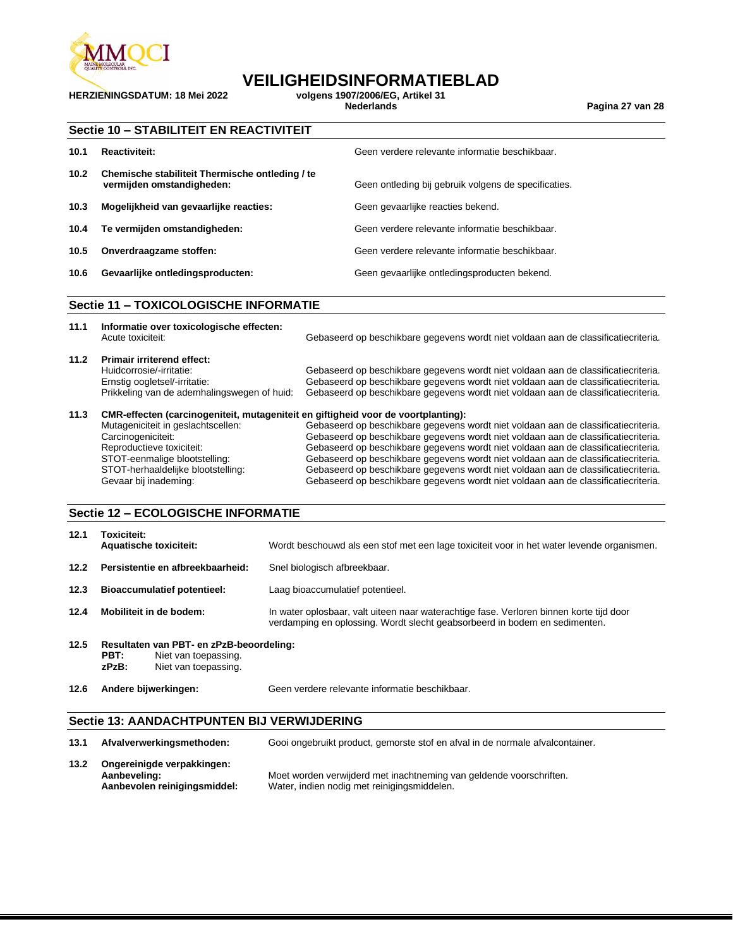

**HERZIENINGSDATUM: 18 Mei 2022 volgens 1907/2006/EG, Artikel 31**

### **VEILIGHEIDSINFORMATIEBLAD**

**Nederlands Pagina 27 van 28**

|      | Sectie 10 - STABILITEIT EN REACTIVITEIT                                      |                                                      |  |  |  |
|------|------------------------------------------------------------------------------|------------------------------------------------------|--|--|--|
| 10.1 | Reactiviteit:                                                                | Geen verdere relevante informatie beschikbaar.       |  |  |  |
| 10.2 | Chemische stabiliteit Thermische ontleding / te<br>vermijden omstandigheden: | Geen ontleding bij gebruik volgens de specificaties. |  |  |  |
| 10.3 | Mogelijkheid van gevaarlijke reacties:                                       | Geen gevaarlijke reacties bekend.                    |  |  |  |
| 10.4 | Te vermijden omstandigheden:                                                 | Geen verdere relevante informatie beschikbaar.       |  |  |  |
| 10.5 | Onverdraagzame stoffen:                                                      | Geen verdere relevante informatie beschikbaar.       |  |  |  |
| 10.6 | Gevaarlijke ontledingsproducten:                                             | Geen gevaarlijke ontledingsproducten bekend.         |  |  |  |
|      | $0 - 12 - 11$<br><b>TOVICOLOGICOUT INFORMATIE</b>                            |                                                      |  |  |  |

### **Sectie 11 – TOXICOLOGISCHE INFORMATIE**

| 11.1 | Informatie over toxicologische effecten:<br>Acute toxiciteit:                                                                                 | Gebaseerd op beschikbare gegevens wordt niet voldaan aan de classificatiecriteria.                                                                                                                                                                             |
|------|-----------------------------------------------------------------------------------------------------------------------------------------------|----------------------------------------------------------------------------------------------------------------------------------------------------------------------------------------------------------------------------------------------------------------|
| 11.2 | <b>Primair irriterend effect:</b><br>Huidcorrosie/-irritatie:<br>Ernstig oogletsel/-irritatie:<br>Prikkeling van de ademhalingswegen of huid: | Gebaseerd op beschikbare gegevens wordt niet voldaan aan de classificatiecriteria.<br>Gebaseerd op beschikbare gegevens wordt niet voldaan aan de classificatiecriteria.<br>Gebaseerd op beschikbare gegevens wordt niet voldaan aan de classificatiecriteria. |
| 11.3 | CMR-effecten (carcinogeniteit, mutageniteit en giftigheid voor de voortplanting):                                                             |                                                                                                                                                                                                                                                                |
|      | Mutageniciteit in geslachtscellen:<br>Carcinogeniciteit:<br>Reproductieve toxiciteit:                                                         | Gebaseerd op beschikbare gegevens wordt niet voldaan aan de classificatiecriteria.<br>Gebaseerd op beschikbare gegevens wordt niet voldaan aan de classificatiecriteria.<br>Gebaseerd op beschikbare gegevens wordt niet voldaan aan de classificatiecriteria. |
|      | STOT-eenmalige blootstelling:                                                                                                                 | Gebaseerd op beschikbare gegevens wordt niet voldaan aan de classificatiecriteria.                                                                                                                                                                             |

STOT-herhaaldelijke blootstelling: Gebaseerd op beschikbare gegevens wordt niet voldaan aan de classificatiecriteria. Gevaar bij inademing: Gebaseerd op beschikbare gegevens wordt niet voldaan aan de classificatiecriteria.

#### **Sectie 12 – ECOLOGISCHE INFORMATIE**

| 12.1 | Toxiciteit:<br><b>Aquatische toxiciteit:</b>                                                              | Wordt beschouwd als een stof met een lage toxiciteit voor in het water levende organismen.                                                                            |  |  |
|------|-----------------------------------------------------------------------------------------------------------|-----------------------------------------------------------------------------------------------------------------------------------------------------------------------|--|--|
| 12.2 | Persistentie en afbreekbaarheid:                                                                          | Snel biologisch afbreekbaar.                                                                                                                                          |  |  |
| 12.3 | <b>Bioaccumulatief potentieel:</b>                                                                        | Laag bioaccumulatief potentieel.                                                                                                                                      |  |  |
| 12.4 | Mobiliteit in de bodem:                                                                                   | In water oplosbaar, valt uiteen naar waterachtige fase. Verloren binnen korte tijd door<br>verdamping en oplossing. Wordt slecht geabsorbeerd in bodem en sedimenten. |  |  |
| 12.5 | Resultaten van PBT- en zPzB-beoordeling:<br>PBT:<br>Niet van toepassing.<br>zPzB:<br>Niet van toepassing. |                                                                                                                                                                       |  |  |
| 12.6 | Andere bijwerkingen:                                                                                      | Geen verdere relevante informatie beschikbaar.                                                                                                                        |  |  |

#### **Sectie 13: AANDACHTPUNTEN BIJ VERWIJDERING**

| 13.1 | Afvalverwerkingsmethoden:                                                  | Gooi ongebruikt product, gemorste stof en afval in de normale afvalcontainer.                                      |
|------|----------------------------------------------------------------------------|--------------------------------------------------------------------------------------------------------------------|
| 13.2 | Ongereinigde verpakkingen:<br>Aanbeveling:<br>Aanbevolen reinigingsmiddel: | Moet worden verwijderd met inachtneming van geldende voorschriften.<br>Water, indien nodig met reinigingsmiddelen. |